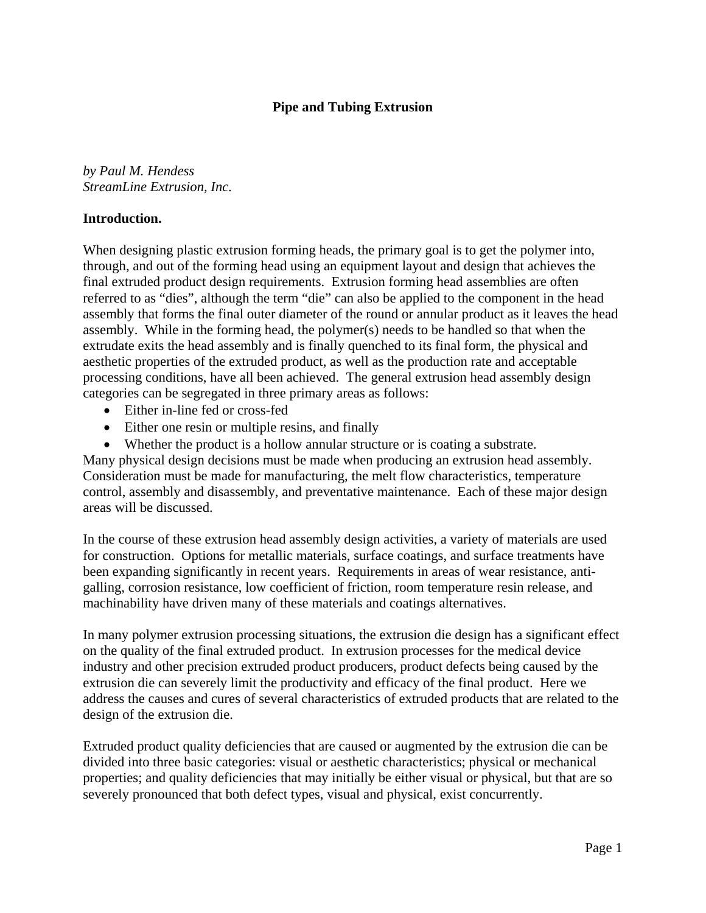## **Pipe and Tubing Extrusion**

*by Paul M. Hendess StreamLine Extrusion, Inc.* 

#### **Introduction.**

When designing plastic extrusion forming heads, the primary goal is to get the polymer into, through, and out of the forming head using an equipment layout and design that achieves the final extruded product design requirements. Extrusion forming head assemblies are often referred to as "dies", although the term "die" can also be applied to the component in the head assembly that forms the final outer diameter of the round or annular product as it leaves the head assembly. While in the forming head, the polymer(s) needs to be handled so that when the extrudate exits the head assembly and is finally quenched to its final form, the physical and aesthetic properties of the extruded product, as well as the production rate and acceptable processing conditions, have all been achieved. The general extrusion head assembly design categories can be segregated in three primary areas as follows:

- Either in-line fed or cross-fed
- Either one resin or multiple resins, and finally
- Whether the product is a hollow annular structure or is coating a substrate.

Many physical design decisions must be made when producing an extrusion head assembly. Consideration must be made for manufacturing, the melt flow characteristics, temperature control, assembly and disassembly, and preventative maintenance. Each of these major design areas will be discussed.

In the course of these extrusion head assembly design activities, a variety of materials are used for construction. Options for metallic materials, surface coatings, and surface treatments have been expanding significantly in recent years. Requirements in areas of wear resistance, antigalling, corrosion resistance, low coefficient of friction, room temperature resin release, and machinability have driven many of these materials and coatings alternatives.

In many polymer extrusion processing situations, the extrusion die design has a significant effect on the quality of the final extruded product. In extrusion processes for the medical device industry and other precision extruded product producers, product defects being caused by the extrusion die can severely limit the productivity and efficacy of the final product. Here we address the causes and cures of several characteristics of extruded products that are related to the design of the extrusion die.

Extruded product quality deficiencies that are caused or augmented by the extrusion die can be divided into three basic categories: visual or aesthetic characteristics; physical or mechanical properties; and quality deficiencies that may initially be either visual or physical, but that are so severely pronounced that both defect types, visual and physical, exist concurrently.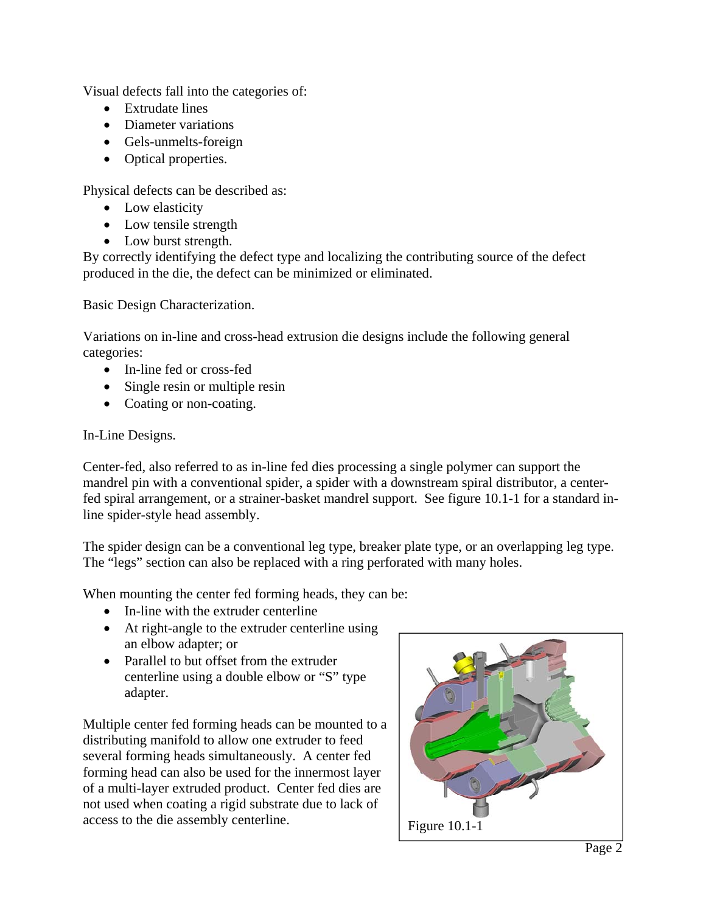Visual defects fall into the categories of:

- Extrudate lines
- Diameter variations
- Gels-unmelts-foreign
- Optical properties.

Physical defects can be described as:

- Low elasticity
- Low tensile strength
- Low burst strength.

By correctly identifying the defect type and localizing the contributing source of the defect produced in the die, the defect can be minimized or eliminated.

Basic Design Characterization.

Variations on in-line and cross-head extrusion die designs include the following general categories:

- In-line fed or cross-fed
- Single resin or multiple resin
- Coating or non-coating.

# In-Line Designs.

Center-fed, also referred to as in-line fed dies processing a single polymer can support the mandrel pin with a conventional spider, a spider with a downstream spiral distributor, a centerfed spiral arrangement, or a strainer-basket mandrel support. See figure 10.1-1 for a standard inline spider-style head assembly.

The spider design can be a conventional leg type, breaker plate type, or an overlapping leg type. The "legs" section can also be replaced with a ring perforated with many holes.

When mounting the center fed forming heads, they can be:

- In-line with the extruder centerline
- At right-angle to the extruder centerline using an elbow adapter; or
- Parallel to but offset from the extruder centerline using a double elbow or "S" type adapter.

Multiple center fed forming heads can be mounted to a distributing manifold to allow one extruder to feed several forming heads simultaneously. A center fed forming head can also be used for the innermost layer of a multi-layer extruded product. Center fed dies are not used when coating a rigid substrate due to lack of access to the die assembly centerline. Figure 10.1-1

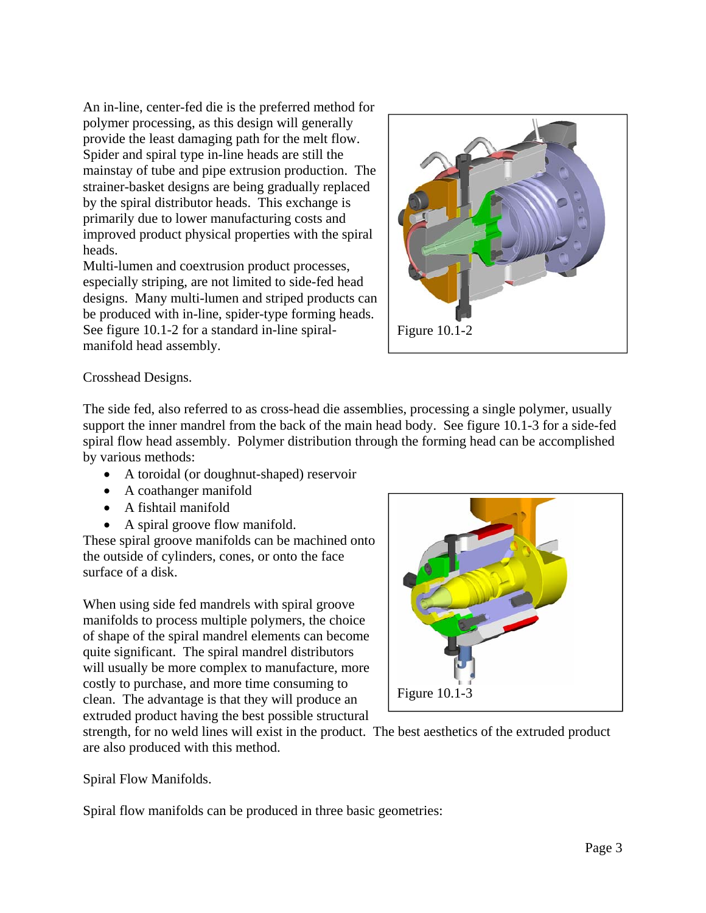An in-line, center-fed die is the preferred method for polymer processing, as this design will generally provide the least damaging path for the melt flow. Spider and spiral type in-line heads are still the mainstay of tube and pipe extrusion production. The strainer-basket designs are being gradually replaced by the spiral distributor heads. This exchange is primarily due to lower manufacturing costs and improved product physical properties with the spiral heads.

Multi-lumen and coextrusion product processes, especially striping, are not limited to side-fed head designs. Many multi-lumen and striped products can be produced with in-line, spider-type forming heads. See figure 10.1-2 for a standard in-line spiralmanifold head assembly.



# Crosshead Designs.

The side fed, also referred to as cross-head die assemblies, processing a single polymer, usually support the inner mandrel from the back of the main head body. See figure 10.1-3 for a side-fed spiral flow head assembly. Polymer distribution through the forming head can be accomplished by various methods:

- A toroidal (or doughnut-shaped) reservoir
- A coathanger manifold
- A fishtail manifold
- A spiral groove flow manifold.

These spiral groove manifolds can be machined onto the outside of cylinders, cones, or onto the face surface of a disk.

When using side fed mandrels with spiral groove manifolds to process multiple polymers, the choice of shape of the spiral mandrel elements can become quite significant. The spiral mandrel distributors will usually be more complex to manufacture, more costly to purchase, and more time consuming to clean. The advantage is that they will produce an extruded product having the best possible structural



strength, for no weld lines will exist in the product. The best aesthetics of the extruded product are also produced with this method.

Spiral Flow Manifolds.

Spiral flow manifolds can be produced in three basic geometries: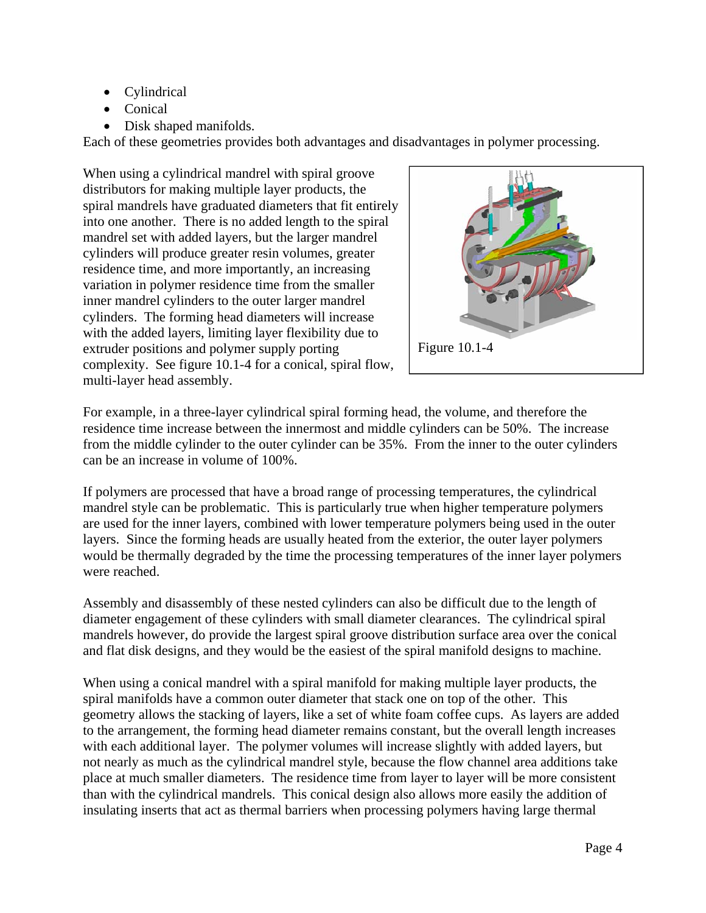- Cylindrical
- Conical
- Disk shaped manifolds.

Each of these geometries provides both advantages and disadvantages in polymer processing.

When using a cylindrical mandrel with spiral groove distributors for making multiple layer products, the spiral mandrels have graduated diameters that fit entirely into one another. There is no added length to the spiral mandrel set with added layers, but the larger mandrel cylinders will produce greater resin volumes, greater residence time, and more importantly, an increasing variation in polymer residence time from the smaller inner mandrel cylinders to the outer larger mandrel cylinders. The forming head diameters will increase with the added layers, limiting layer flexibility due to extruder positions and polymer supply porting complexity. See figure 10.1-4 for a conical, spiral flow, multi-layer head assembly.



For example, in a three-layer cylindrical spiral forming head, the volume, and therefore the residence time increase between the innermost and middle cylinders can be 50%. The increase from the middle cylinder to the outer cylinder can be 35%. From the inner to the outer cylinders can be an increase in volume of 100%.

If polymers are processed that have a broad range of processing temperatures, the cylindrical mandrel style can be problematic. This is particularly true when higher temperature polymers are used for the inner layers, combined with lower temperature polymers being used in the outer layers. Since the forming heads are usually heated from the exterior, the outer layer polymers would be thermally degraded by the time the processing temperatures of the inner layer polymers were reached.

Assembly and disassembly of these nested cylinders can also be difficult due to the length of diameter engagement of these cylinders with small diameter clearances. The cylindrical spiral mandrels however, do provide the largest spiral groove distribution surface area over the conical and flat disk designs, and they would be the easiest of the spiral manifold designs to machine.

When using a conical mandrel with a spiral manifold for making multiple layer products, the spiral manifolds have a common outer diameter that stack one on top of the other. This geometry allows the stacking of layers, like a set of white foam coffee cups. As layers are added to the arrangement, the forming head diameter remains constant, but the overall length increases with each additional layer. The polymer volumes will increase slightly with added layers, but not nearly as much as the cylindrical mandrel style, because the flow channel area additions take place at much smaller diameters. The residence time from layer to layer will be more consistent than with the cylindrical mandrels. This conical design also allows more easily the addition of insulating inserts that act as thermal barriers when processing polymers having large thermal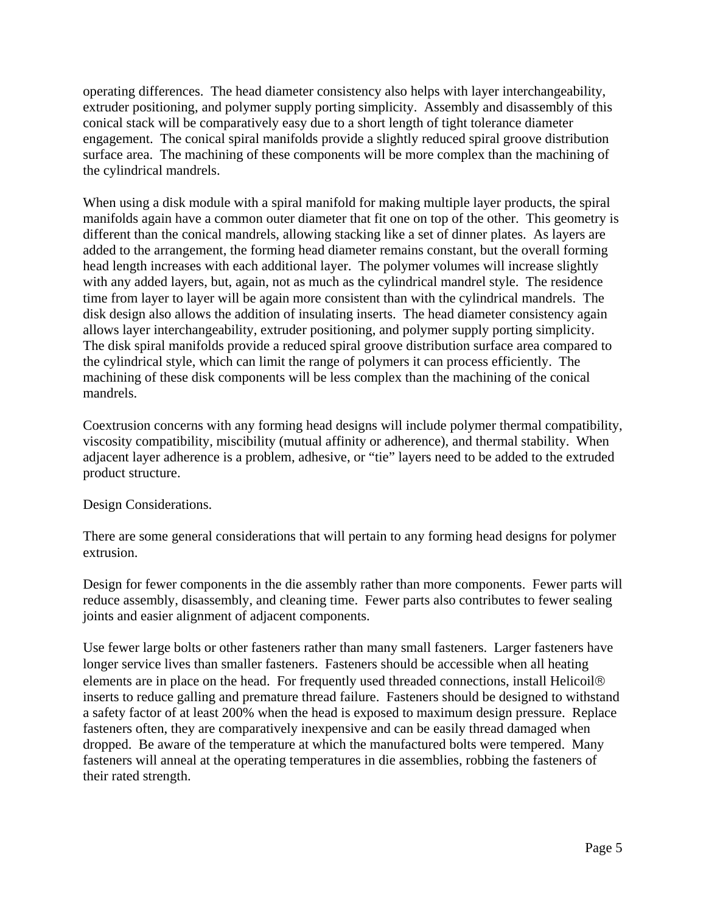operating differences. The head diameter consistency also helps with layer interchangeability, extruder positioning, and polymer supply porting simplicity. Assembly and disassembly of this conical stack will be comparatively easy due to a short length of tight tolerance diameter engagement. The conical spiral manifolds provide a slightly reduced spiral groove distribution surface area. The machining of these components will be more complex than the machining of the cylindrical mandrels.

When using a disk module with a spiral manifold for making multiple layer products, the spiral manifolds again have a common outer diameter that fit one on top of the other. This geometry is different than the conical mandrels, allowing stacking like a set of dinner plates. As layers are added to the arrangement, the forming head diameter remains constant, but the overall forming head length increases with each additional layer. The polymer volumes will increase slightly with any added layers, but, again, not as much as the cylindrical mandrel style. The residence time from layer to layer will be again more consistent than with the cylindrical mandrels. The disk design also allows the addition of insulating inserts. The head diameter consistency again allows layer interchangeability, extruder positioning, and polymer supply porting simplicity. The disk spiral manifolds provide a reduced spiral groove distribution surface area compared to the cylindrical style, which can limit the range of polymers it can process efficiently. The machining of these disk components will be less complex than the machining of the conical mandrels.

Coextrusion concerns with any forming head designs will include polymer thermal compatibility, viscosity compatibility, miscibility (mutual affinity or adherence), and thermal stability. When adjacent layer adherence is a problem, adhesive, or "tie" layers need to be added to the extruded product structure.

Design Considerations.

There are some general considerations that will pertain to any forming head designs for polymer extrusion.

Design for fewer components in the die assembly rather than more components. Fewer parts will reduce assembly, disassembly, and cleaning time. Fewer parts also contributes to fewer sealing joints and easier alignment of adjacent components.

Use fewer large bolts or other fasteners rather than many small fasteners. Larger fasteners have longer service lives than smaller fasteners. Fasteners should be accessible when all heating elements are in place on the head. For frequently used threaded connections, install Helicoil inserts to reduce galling and premature thread failure. Fasteners should be designed to withstand a safety factor of at least 200% when the head is exposed to maximum design pressure. Replace fasteners often, they are comparatively inexpensive and can be easily thread damaged when dropped. Be aware of the temperature at which the manufactured bolts were tempered. Many fasteners will anneal at the operating temperatures in die assemblies, robbing the fasteners of their rated strength.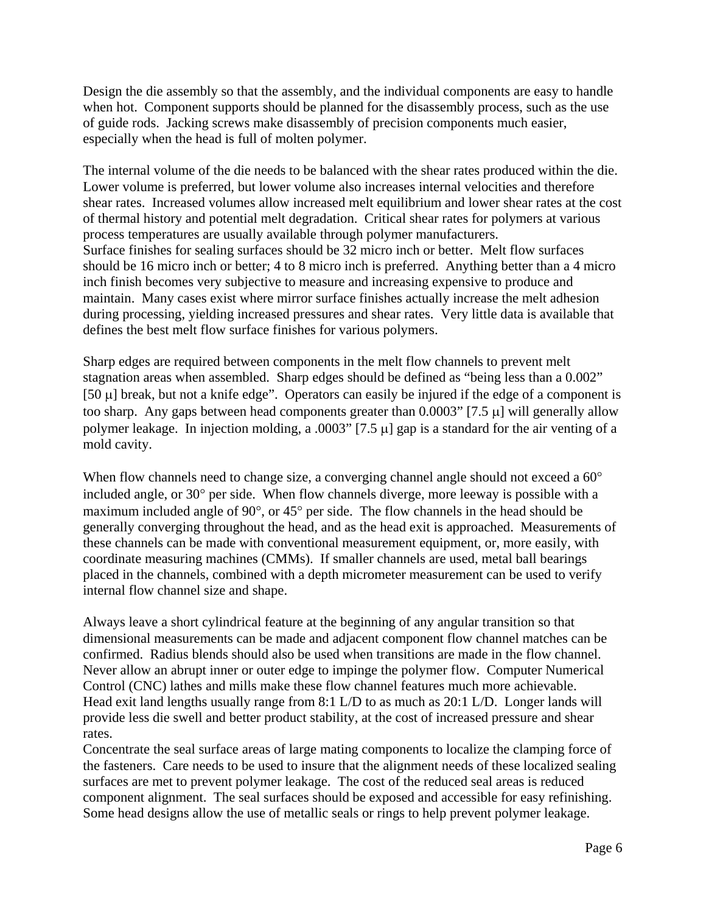Design the die assembly so that the assembly, and the individual components are easy to handle when hot. Component supports should be planned for the disassembly process, such as the use of guide rods. Jacking screws make disassembly of precision components much easier, especially when the head is full of molten polymer.

The internal volume of the die needs to be balanced with the shear rates produced within the die. Lower volume is preferred, but lower volume also increases internal velocities and therefore shear rates. Increased volumes allow increased melt equilibrium and lower shear rates at the cost of thermal history and potential melt degradation. Critical shear rates for polymers at various process temperatures are usually available through polymer manufacturers. Surface finishes for sealing surfaces should be 32 micro inch or better. Melt flow surfaces should be 16 micro inch or better; 4 to 8 micro inch is preferred. Anything better than a 4 micro inch finish becomes very subjective to measure and increasing expensive to produce and maintain. Many cases exist where mirror surface finishes actually increase the melt adhesion during processing, yielding increased pressures and shear rates. Very little data is available that defines the best melt flow surface finishes for various polymers.

Sharp edges are required between components in the melt flow channels to prevent melt stagnation areas when assembled. Sharp edges should be defined as "being less than a 0.002" [50  $\mu$ ] break, but not a knife edge". Operators can easily be injured if the edge of a component is too sharp. Any gaps between head components greater than  $0.0003$ " [7.5  $\mu$ ] will generally allow polymer leakage. In injection molding, a .0003" [7.5  $\mu$ ] gap is a standard for the air venting of a mold cavity.

When flow channels need to change size, a converging channel angle should not exceed a 60<sup>o</sup> included angle, or  $30^{\circ}$  per side. When flow channels diverge, more leeway is possible with a maximum included angle of  $90^{\circ}$ , or  $45^{\circ}$  per side. The flow channels in the head should be generally converging throughout the head, and as the head exit is approached. Measurements of these channels can be made with conventional measurement equipment, or, more easily, with coordinate measuring machines (CMMs). If smaller channels are used, metal ball bearings placed in the channels, combined with a depth micrometer measurement can be used to verify internal flow channel size and shape.

Always leave a short cylindrical feature at the beginning of any angular transition so that dimensional measurements can be made and adjacent component flow channel matches can be confirmed. Radius blends should also be used when transitions are made in the flow channel. Never allow an abrupt inner or outer edge to impinge the polymer flow. Computer Numerical Control (CNC) lathes and mills make these flow channel features much more achievable. Head exit land lengths usually range from 8:1 L/D to as much as 20:1 L/D. Longer lands will provide less die swell and better product stability, at the cost of increased pressure and shear rates.

Concentrate the seal surface areas of large mating components to localize the clamping force of the fasteners. Care needs to be used to insure that the alignment needs of these localized sealing surfaces are met to prevent polymer leakage. The cost of the reduced seal areas is reduced component alignment. The seal surfaces should be exposed and accessible for easy refinishing. Some head designs allow the use of metallic seals or rings to help prevent polymer leakage.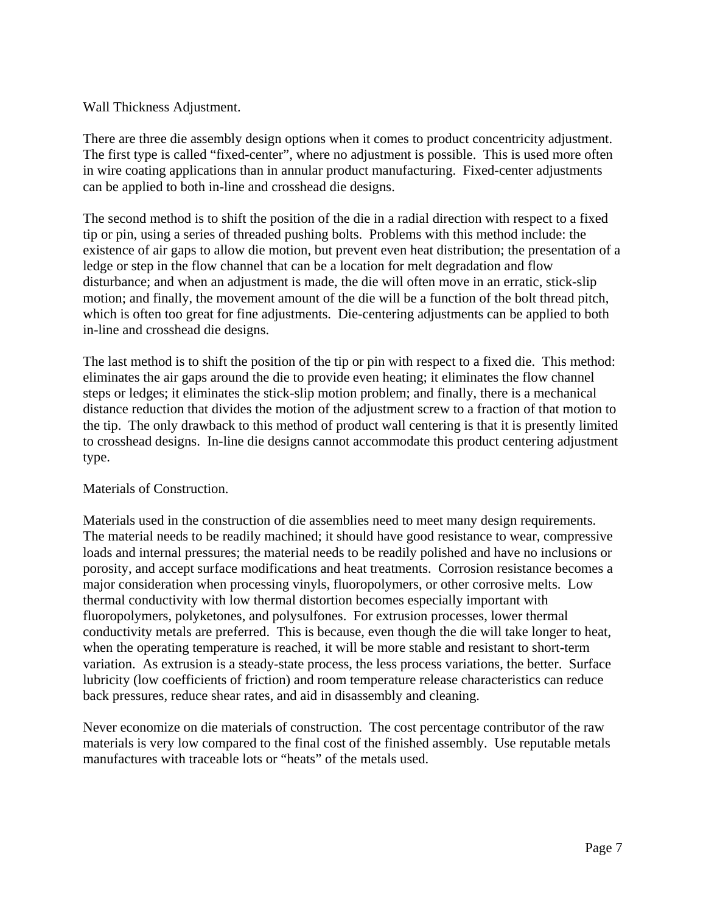## Wall Thickness Adjustment.

There are three die assembly design options when it comes to product concentricity adjustment. The first type is called "fixed-center", where no adjustment is possible. This is used more often in wire coating applications than in annular product manufacturing. Fixed-center adjustments can be applied to both in-line and crosshead die designs.

The second method is to shift the position of the die in a radial direction with respect to a fixed tip or pin, using a series of threaded pushing bolts. Problems with this method include: the existence of air gaps to allow die motion, but prevent even heat distribution; the presentation of a ledge or step in the flow channel that can be a location for melt degradation and flow disturbance; and when an adjustment is made, the die will often move in an erratic, stick-slip motion; and finally, the movement amount of the die will be a function of the bolt thread pitch, which is often too great for fine adjustments. Die-centering adjustments can be applied to both in-line and crosshead die designs.

The last method is to shift the position of the tip or pin with respect to a fixed die. This method: eliminates the air gaps around the die to provide even heating; it eliminates the flow channel steps or ledges; it eliminates the stick-slip motion problem; and finally, there is a mechanical distance reduction that divides the motion of the adjustment screw to a fraction of that motion to the tip. The only drawback to this method of product wall centering is that it is presently limited to crosshead designs. In-line die designs cannot accommodate this product centering adjustment type.

## Materials of Construction.

Materials used in the construction of die assemblies need to meet many design requirements. The material needs to be readily machined; it should have good resistance to wear, compressive loads and internal pressures; the material needs to be readily polished and have no inclusions or porosity, and accept surface modifications and heat treatments. Corrosion resistance becomes a major consideration when processing vinyls, fluoropolymers, or other corrosive melts. Low thermal conductivity with low thermal distortion becomes especially important with fluoropolymers, polyketones, and polysulfones. For extrusion processes, lower thermal conductivity metals are preferred. This is because, even though the die will take longer to heat, when the operating temperature is reached, it will be more stable and resistant to short-term variation. As extrusion is a steady-state process, the less process variations, the better. Surface lubricity (low coefficients of friction) and room temperature release characteristics can reduce back pressures, reduce shear rates, and aid in disassembly and cleaning.

Never economize on die materials of construction. The cost percentage contributor of the raw materials is very low compared to the final cost of the finished assembly. Use reputable metals manufactures with traceable lots or "heats" of the metals used.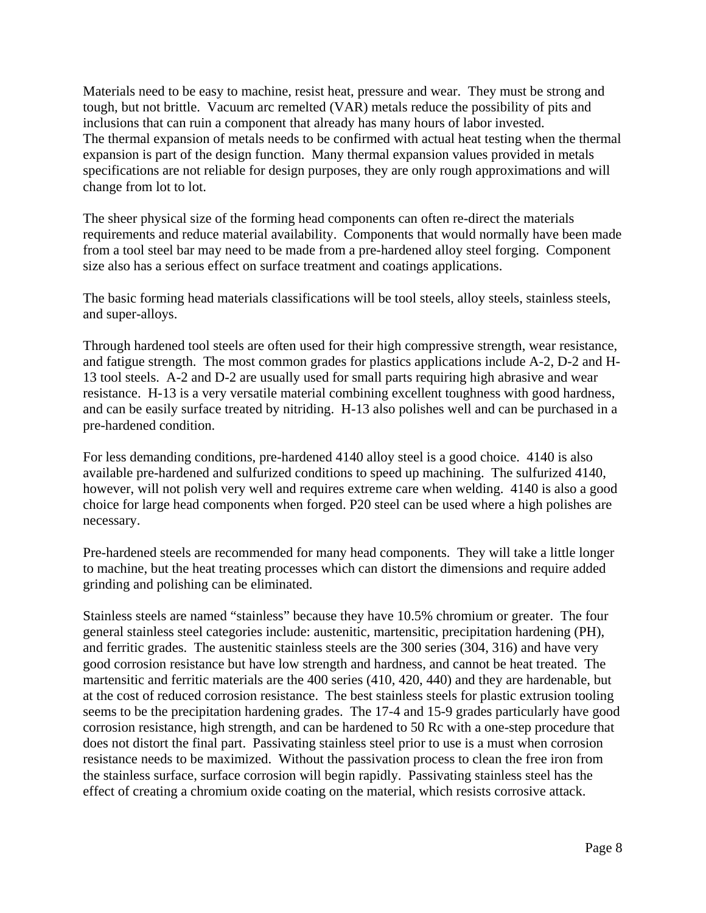Materials need to be easy to machine, resist heat, pressure and wear. They must be strong and tough, but not brittle. Vacuum arc remelted (VAR) metals reduce the possibility of pits and inclusions that can ruin a component that already has many hours of labor invested. The thermal expansion of metals needs to be confirmed with actual heat testing when the thermal expansion is part of the design function. Many thermal expansion values provided in metals specifications are not reliable for design purposes, they are only rough approximations and will change from lot to lot.

The sheer physical size of the forming head components can often re-direct the materials requirements and reduce material availability. Components that would normally have been made from a tool steel bar may need to be made from a pre-hardened alloy steel forging. Component size also has a serious effect on surface treatment and coatings applications.

The basic forming head materials classifications will be tool steels, alloy steels, stainless steels, and super-alloys.

Through hardened tool steels are often used for their high compressive strength, wear resistance, and fatigue strength. The most common grades for plastics applications include A-2, D-2 and H-13 tool steels. A-2 and D-2 are usually used for small parts requiring high abrasive and wear resistance. H-13 is a very versatile material combining excellent toughness with good hardness, and can be easily surface treated by nitriding. H-13 also polishes well and can be purchased in a pre-hardened condition.

For less demanding conditions, pre-hardened 4140 alloy steel is a good choice. 4140 is also available pre-hardened and sulfurized conditions to speed up machining. The sulfurized 4140, however, will not polish very well and requires extreme care when welding. 4140 is also a good choice for large head components when forged. P20 steel can be used where a high polishes are necessary.

Pre-hardened steels are recommended for many head components. They will take a little longer to machine, but the heat treating processes which can distort the dimensions and require added grinding and polishing can be eliminated.

Stainless steels are named "stainless" because they have 10.5% chromium or greater. The four general stainless steel categories include: austenitic, martensitic, precipitation hardening (PH), and ferritic grades. The austenitic stainless steels are the 300 series (304, 316) and have very good corrosion resistance but have low strength and hardness, and cannot be heat treated. The martensitic and ferritic materials are the 400 series (410, 420, 440) and they are hardenable, but at the cost of reduced corrosion resistance. The best stainless steels for plastic extrusion tooling seems to be the precipitation hardening grades. The 17-4 and 15-9 grades particularly have good corrosion resistance, high strength, and can be hardened to 50 Rc with a one-step procedure that does not distort the final part. Passivating stainless steel prior to use is a must when corrosion resistance needs to be maximized. Without the passivation process to clean the free iron from the stainless surface, surface corrosion will begin rapidly. Passivating stainless steel has the effect of creating a chromium oxide coating on the material, which resists corrosive attack.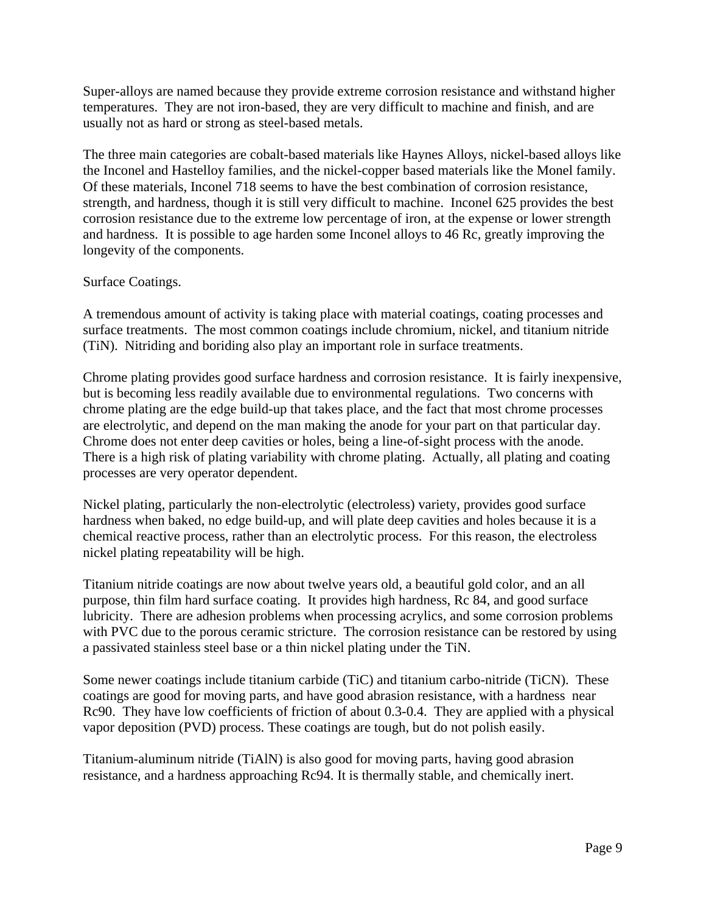Super-alloys are named because they provide extreme corrosion resistance and withstand higher temperatures. They are not iron-based, they are very difficult to machine and finish, and are usually not as hard or strong as steel-based metals.

The three main categories are cobalt-based materials like Haynes Alloys, nickel-based alloys like the Inconel and Hastelloy families, and the nickel-copper based materials like the Monel family. Of these materials, Inconel 718 seems to have the best combination of corrosion resistance, strength, and hardness, though it is still very difficult to machine. Inconel 625 provides the best corrosion resistance due to the extreme low percentage of iron, at the expense or lower strength and hardness. It is possible to age harden some Inconel alloys to 46 Rc, greatly improving the longevity of the components.

## Surface Coatings.

A tremendous amount of activity is taking place with material coatings, coating processes and surface treatments. The most common coatings include chromium, nickel, and titanium nitride (TiN). Nitriding and boriding also play an important role in surface treatments.

Chrome plating provides good surface hardness and corrosion resistance. It is fairly inexpensive, but is becoming less readily available due to environmental regulations. Two concerns with chrome plating are the edge build-up that takes place, and the fact that most chrome processes are electrolytic, and depend on the man making the anode for your part on that particular day. Chrome does not enter deep cavities or holes, being a line-of-sight process with the anode. There is a high risk of plating variability with chrome plating. Actually, all plating and coating processes are very operator dependent.

Nickel plating, particularly the non-electrolytic (electroless) variety, provides good surface hardness when baked, no edge build-up, and will plate deep cavities and holes because it is a chemical reactive process, rather than an electrolytic process. For this reason, the electroless nickel plating repeatability will be high.

Titanium nitride coatings are now about twelve years old, a beautiful gold color, and an all purpose, thin film hard surface coating. It provides high hardness, Rc 84, and good surface lubricity. There are adhesion problems when processing acrylics, and some corrosion problems with PVC due to the porous ceramic stricture. The corrosion resistance can be restored by using a passivated stainless steel base or a thin nickel plating under the TiN.

Some newer coatings include titanium carbide (TiC) and titanium carbo-nitride (TiCN). These coatings are good for moving parts, and have good abrasion resistance, with a hardness near Rc90. They have low coefficients of friction of about 0.3-0.4. They are applied with a physical vapor deposition (PVD) process. These coatings are tough, but do not polish easily.

Titanium-aluminum nitride (TiAlN) is also good for moving parts, having good abrasion resistance, and a hardness approaching Rc94. It is thermally stable, and chemically inert.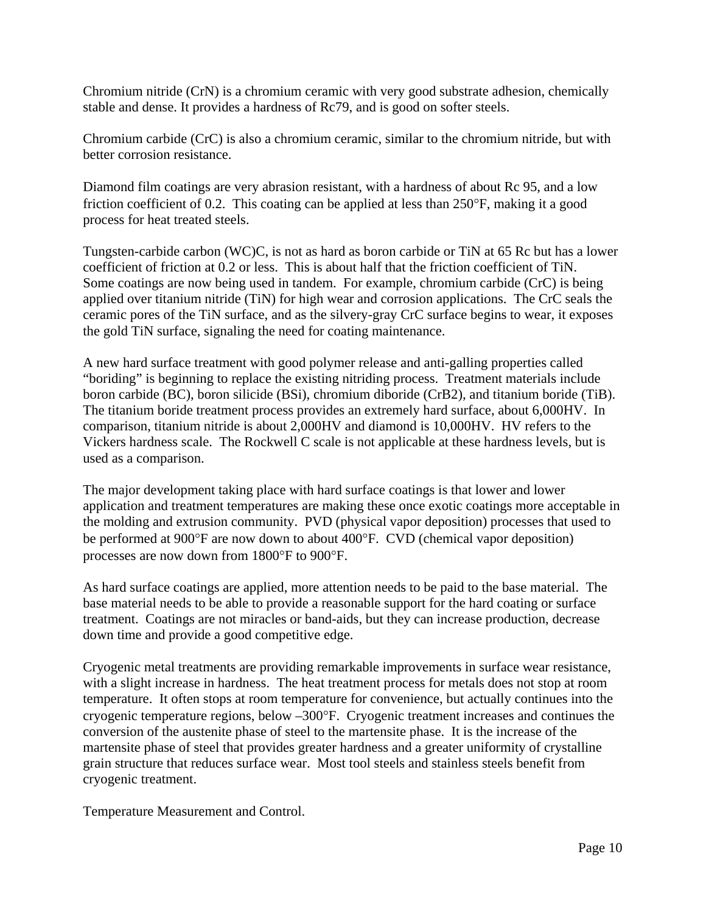Chromium nitride (CrN) is a chromium ceramic with very good substrate adhesion, chemically stable and dense. It provides a hardness of Rc79, and is good on softer steels.

Chromium carbide (CrC) is also a chromium ceramic, similar to the chromium nitride, but with better corrosion resistance.

Diamond film coatings are very abrasion resistant, with a hardness of about Rc 95, and a low friction coefficient of 0.2. This coating can be applied at less than  $250^{\circ}$ F, making it a good process for heat treated steels.

Tungsten-carbide carbon (WC)C, is not as hard as boron carbide or TiN at 65 Rc but has a lower coefficient of friction at 0.2 or less. This is about half that the friction coefficient of TiN. Some coatings are now being used in tandem. For example, chromium carbide (CrC) is being applied over titanium nitride (TiN) for high wear and corrosion applications. The CrC seals the ceramic pores of the TiN surface, and as the silvery-gray CrC surface begins to wear, it exposes the gold TiN surface, signaling the need for coating maintenance.

A new hard surface treatment with good polymer release and anti-galling properties called "boriding" is beginning to replace the existing nitriding process. Treatment materials include boron carbide (BC), boron silicide (BSi), chromium diboride (CrB2), and titanium boride (TiB). The titanium boride treatment process provides an extremely hard surface, about 6,000HV. In comparison, titanium nitride is about 2,000HV and diamond is 10,000HV. HV refers to the Vickers hardness scale. The Rockwell C scale is not applicable at these hardness levels, but is used as a comparison.

The major development taking place with hard surface coatings is that lower and lower application and treatment temperatures are making these once exotic coatings more acceptable in the molding and extrusion community. PVD (physical vapor deposition) processes that used to be performed at 900°F are now down to about 400°F. CVD (chemical vapor deposition) processes are now down from 1800°F to 900°F.

As hard surface coatings are applied, more attention needs to be paid to the base material. The base material needs to be able to provide a reasonable support for the hard coating or surface treatment. Coatings are not miracles or band-aids, but they can increase production, decrease down time and provide a good competitive edge.

Cryogenic metal treatments are providing remarkable improvements in surface wear resistance, with a slight increase in hardness. The heat treatment process for metals does not stop at room temperature. It often stops at room temperature for convenience, but actually continues into the cryogenic temperature regions, below –300°F. Cryogenic treatment increases and continues the conversion of the austenite phase of steel to the martensite phase. It is the increase of the martensite phase of steel that provides greater hardness and a greater uniformity of crystalline grain structure that reduces surface wear. Most tool steels and stainless steels benefit from cryogenic treatment.

Temperature Measurement and Control.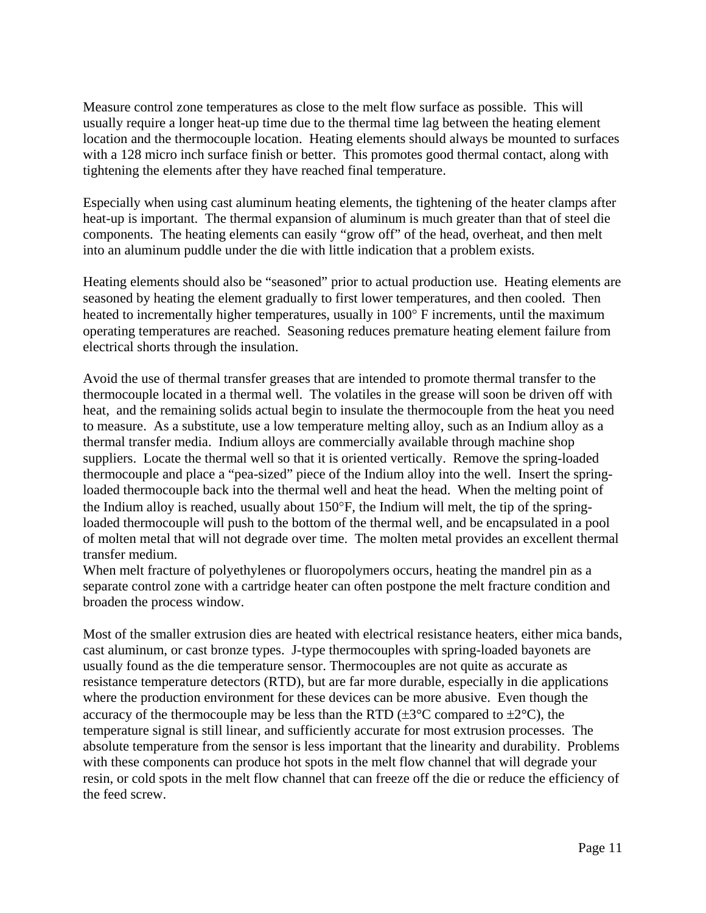Measure control zone temperatures as close to the melt flow surface as possible. This will usually require a longer heat-up time due to the thermal time lag between the heating element location and the thermocouple location. Heating elements should always be mounted to surfaces with a 128 micro inch surface finish or better. This promotes good thermal contact, along with tightening the elements after they have reached final temperature.

Especially when using cast aluminum heating elements, the tightening of the heater clamps after heat-up is important. The thermal expansion of aluminum is much greater than that of steel die components. The heating elements can easily "grow off" of the head, overheat, and then melt into an aluminum puddle under the die with little indication that a problem exists.

Heating elements should also be "seasoned" prior to actual production use. Heating elements are seasoned by heating the element gradually to first lower temperatures, and then cooled. Then heated to incrementally higher temperatures, usually in  $100^\circ$  F increments, until the maximum operating temperatures are reached. Seasoning reduces premature heating element failure from electrical shorts through the insulation.

Avoid the use of thermal transfer greases that are intended to promote thermal transfer to the thermocouple located in a thermal well. The volatiles in the grease will soon be driven off with heat, and the remaining solids actual begin to insulate the thermocouple from the heat you need to measure. As a substitute, use a low temperature melting alloy, such as an Indium alloy as a thermal transfer media. Indium alloys are commercially available through machine shop suppliers. Locate the thermal well so that it is oriented vertically. Remove the spring-loaded thermocouple and place a "pea-sized" piece of the Indium alloy into the well. Insert the springloaded thermocouple back into the thermal well and heat the head. When the melting point of the Indium alloy is reached, usually about  $150^{\circ}$ F, the Indium will melt, the tip of the springloaded thermocouple will push to the bottom of the thermal well, and be encapsulated in a pool of molten metal that will not degrade over time. The molten metal provides an excellent thermal transfer medium.

When melt fracture of polyethylenes or fluoropolymers occurs, heating the mandrel pin as a separate control zone with a cartridge heater can often postpone the melt fracture condition and broaden the process window.

Most of the smaller extrusion dies are heated with electrical resistance heaters, either mica bands, cast aluminum, or cast bronze types. J-type thermocouples with spring-loaded bayonets are usually found as the die temperature sensor. Thermocouples are not quite as accurate as resistance temperature detectors (RTD), but are far more durable, especially in die applications where the production environment for these devices can be more abusive. Even though the accuracy of the thermocouple may be less than the RTD ( $\pm 3^{\circ}$ C compared to  $\pm 2^{\circ}$ C), the temperature signal is still linear, and sufficiently accurate for most extrusion processes. The absolute temperature from the sensor is less important that the linearity and durability. Problems with these components can produce hot spots in the melt flow channel that will degrade your resin, or cold spots in the melt flow channel that can freeze off the die or reduce the efficiency of the feed screw.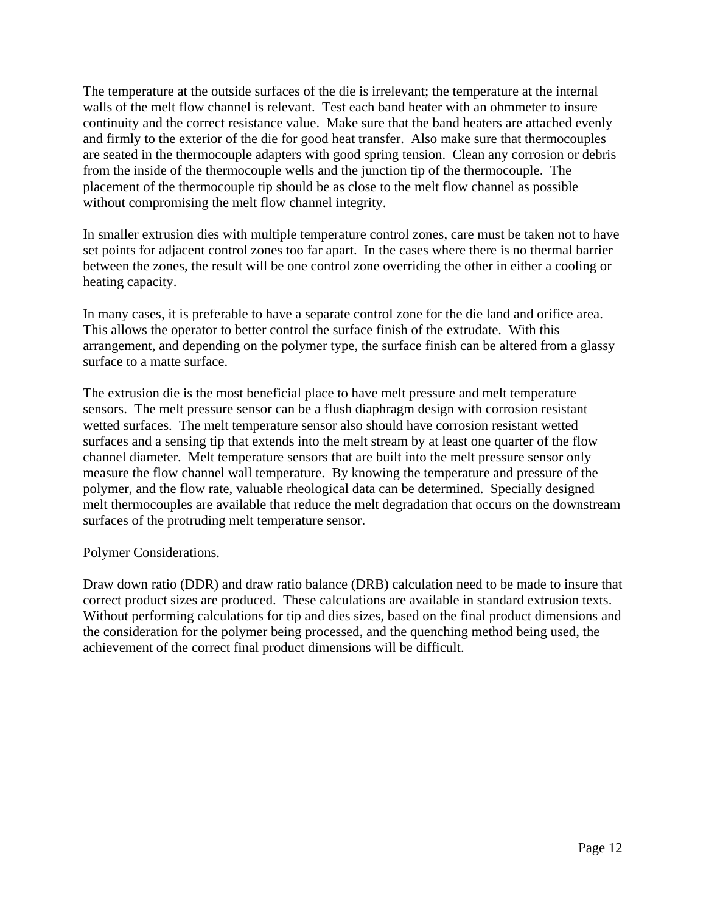The temperature at the outside surfaces of the die is irrelevant; the temperature at the internal walls of the melt flow channel is relevant. Test each band heater with an ohmmeter to insure continuity and the correct resistance value. Make sure that the band heaters are attached evenly and firmly to the exterior of the die for good heat transfer. Also make sure that thermocouples are seated in the thermocouple adapters with good spring tension. Clean any corrosion or debris from the inside of the thermocouple wells and the junction tip of the thermocouple. The placement of the thermocouple tip should be as close to the melt flow channel as possible without compromising the melt flow channel integrity.

In smaller extrusion dies with multiple temperature control zones, care must be taken not to have set points for adjacent control zones too far apart. In the cases where there is no thermal barrier between the zones, the result will be one control zone overriding the other in either a cooling or heating capacity.

In many cases, it is preferable to have a separate control zone for the die land and orifice area. This allows the operator to better control the surface finish of the extrudate. With this arrangement, and depending on the polymer type, the surface finish can be altered from a glassy surface to a matte surface.

The extrusion die is the most beneficial place to have melt pressure and melt temperature sensors. The melt pressure sensor can be a flush diaphragm design with corrosion resistant wetted surfaces. The melt temperature sensor also should have corrosion resistant wetted surfaces and a sensing tip that extends into the melt stream by at least one quarter of the flow channel diameter. Melt temperature sensors that are built into the melt pressure sensor only measure the flow channel wall temperature. By knowing the temperature and pressure of the polymer, and the flow rate, valuable rheological data can be determined. Specially designed melt thermocouples are available that reduce the melt degradation that occurs on the downstream surfaces of the protruding melt temperature sensor.

Polymer Considerations.

Draw down ratio (DDR) and draw ratio balance (DRB) calculation need to be made to insure that correct product sizes are produced. These calculations are available in standard extrusion texts. Without performing calculations for tip and dies sizes, based on the final product dimensions and the consideration for the polymer being processed, and the quenching method being used, the achievement of the correct final product dimensions will be difficult.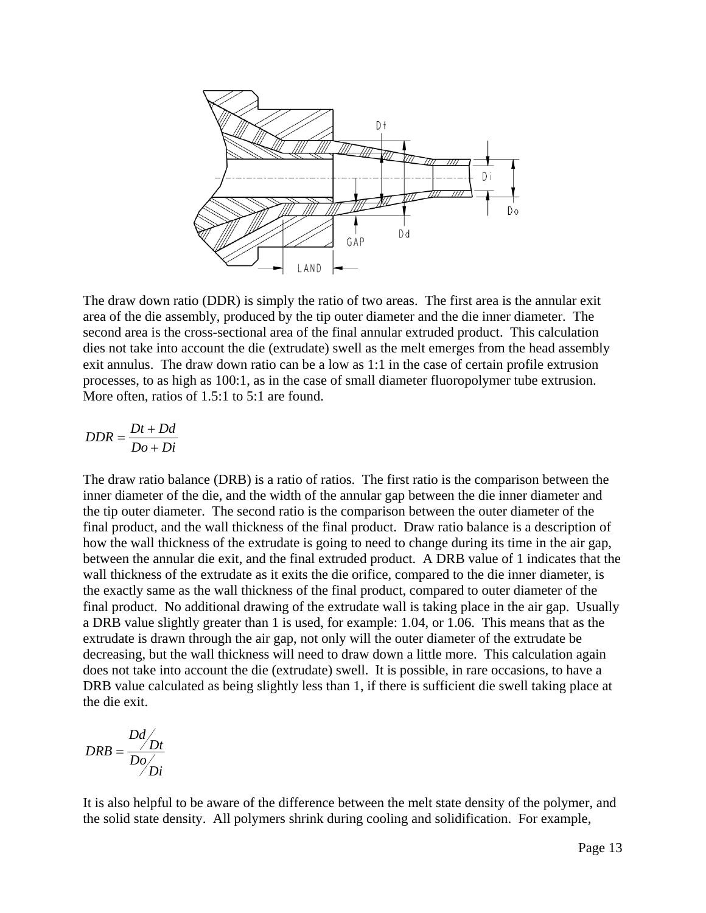

The draw down ratio (DDR) is simply the ratio of two areas. The first area is the annular exit area of the die assembly, produced by the tip outer diameter and the die inner diameter. The second area is the cross-sectional area of the final annular extruded product. This calculation dies not take into account the die (extrudate) swell as the melt emerges from the head assembly exit annulus. The draw down ratio can be a low as 1:1 in the case of certain profile extrusion processes, to as high as 100:1, as in the case of small diameter fluoropolymer tube extrusion. More often, ratios of 1.5:1 to 5:1 are found.

$$
DDR = \frac{Dt + Dd}{Do + Di}
$$

The draw ratio balance (DRB) is a ratio of ratios. The first ratio is the comparison between the inner diameter of the die, and the width of the annular gap between the die inner diameter and the tip outer diameter. The second ratio is the comparison between the outer diameter of the final product, and the wall thickness of the final product. Draw ratio balance is a description of how the wall thickness of the extrudate is going to need to change during its time in the air gap, between the annular die exit, and the final extruded product. A DRB value of 1 indicates that the wall thickness of the extrudate as it exits the die orifice, compared to the die inner diameter, is the exactly same as the wall thickness of the final product, compared to outer diameter of the final product. No additional drawing of the extrudate wall is taking place in the air gap. Usually a DRB value slightly greater than 1 is used, for example: 1.04, or 1.06. This means that as the extrudate is drawn through the air gap, not only will the outer diameter of the extrudate be decreasing, but the wall thickness will need to draw down a little more. This calculation again does not take into account the die (extrudate) swell. It is possible, in rare occasions, to have a DRB value calculated as being slightly less than 1, if there is sufficient die swell taking place at the die exit.

$$
DRB = \frac{Dd}{Do}/Dt}{D\rho}
$$

It is also helpful to be aware of the difference between the melt state density of the polymer, and the solid state density. All polymers shrink during cooling and solidification. For example,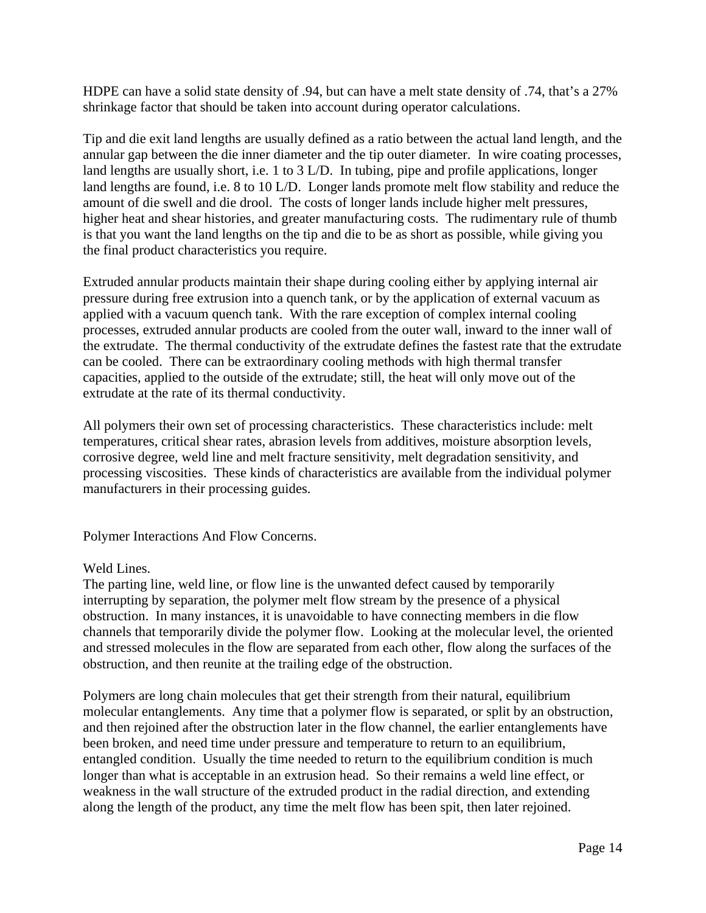HDPE can have a solid state density of .94, but can have a melt state density of .74, that's a 27% shrinkage factor that should be taken into account during operator calculations.

Tip and die exit land lengths are usually defined as a ratio between the actual land length, and the annular gap between the die inner diameter and the tip outer diameter. In wire coating processes, land lengths are usually short, i.e. 1 to 3 L/D. In tubing, pipe and profile applications, longer land lengths are found, i.e. 8 to 10 L/D. Longer lands promote melt flow stability and reduce the amount of die swell and die drool. The costs of longer lands include higher melt pressures, higher heat and shear histories, and greater manufacturing costs. The rudimentary rule of thumb is that you want the land lengths on the tip and die to be as short as possible, while giving you the final product characteristics you require.

Extruded annular products maintain their shape during cooling either by applying internal air pressure during free extrusion into a quench tank, or by the application of external vacuum as applied with a vacuum quench tank. With the rare exception of complex internal cooling processes, extruded annular products are cooled from the outer wall, inward to the inner wall of the extrudate. The thermal conductivity of the extrudate defines the fastest rate that the extrudate can be cooled. There can be extraordinary cooling methods with high thermal transfer capacities, applied to the outside of the extrudate; still, the heat will only move out of the extrudate at the rate of its thermal conductivity.

All polymers their own set of processing characteristics. These characteristics include: melt temperatures, critical shear rates, abrasion levels from additives, moisture absorption levels, corrosive degree, weld line and melt fracture sensitivity, melt degradation sensitivity, and processing viscosities. These kinds of characteristics are available from the individual polymer manufacturers in their processing guides.

Polymer Interactions And Flow Concerns.

## Weld Lines.

The parting line, weld line, or flow line is the unwanted defect caused by temporarily interrupting by separation, the polymer melt flow stream by the presence of a physical obstruction. In many instances, it is unavoidable to have connecting members in die flow channels that temporarily divide the polymer flow. Looking at the molecular level, the oriented and stressed molecules in the flow are separated from each other, flow along the surfaces of the obstruction, and then reunite at the trailing edge of the obstruction.

Polymers are long chain molecules that get their strength from their natural, equilibrium molecular entanglements. Any time that a polymer flow is separated, or split by an obstruction, and then rejoined after the obstruction later in the flow channel, the earlier entanglements have been broken, and need time under pressure and temperature to return to an equilibrium, entangled condition. Usually the time needed to return to the equilibrium condition is much longer than what is acceptable in an extrusion head. So their remains a weld line effect, or weakness in the wall structure of the extruded product in the radial direction, and extending along the length of the product, any time the melt flow has been spit, then later rejoined.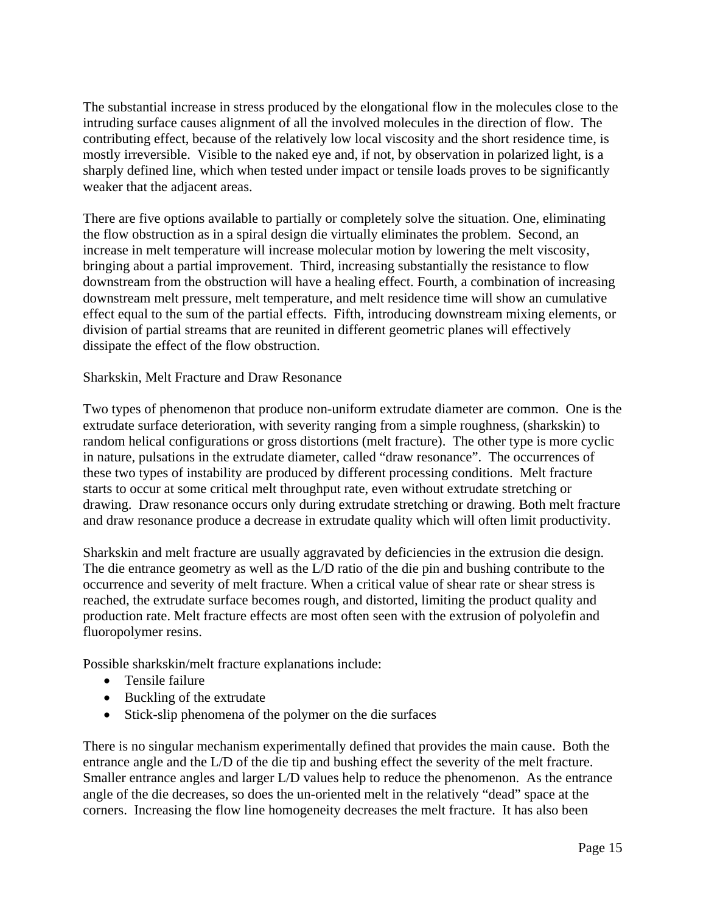The substantial increase in stress produced by the elongational flow in the molecules close to the intruding surface causes alignment of all the involved molecules in the direction of flow. The contributing effect, because of the relatively low local viscosity and the short residence time, is mostly irreversible. Visible to the naked eye and, if not, by observation in polarized light, is a sharply defined line, which when tested under impact or tensile loads proves to be significantly weaker that the adjacent areas.

There are five options available to partially or completely solve the situation. One, eliminating the flow obstruction as in a spiral design die virtually eliminates the problem. Second, an increase in melt temperature will increase molecular motion by lowering the melt viscosity, bringing about a partial improvement. Third, increasing substantially the resistance to flow downstream from the obstruction will have a healing effect. Fourth, a combination of increasing downstream melt pressure, melt temperature, and melt residence time will show an cumulative effect equal to the sum of the partial effects. Fifth, introducing downstream mixing elements, or division of partial streams that are reunited in different geometric planes will effectively dissipate the effect of the flow obstruction.

Sharkskin, Melt Fracture and Draw Resonance

Two types of phenomenon that produce non-uniform extrudate diameter are common. One is the extrudate surface deterioration, with severity ranging from a simple roughness, (sharkskin) to random helical configurations or gross distortions (melt fracture). The other type is more cyclic in nature, pulsations in the extrudate diameter, called "draw resonance". The occurrences of these two types of instability are produced by different processing conditions. Melt fracture starts to occur at some critical melt throughput rate, even without extrudate stretching or drawing. Draw resonance occurs only during extrudate stretching or drawing. Both melt fracture and draw resonance produce a decrease in extrudate quality which will often limit productivity.

Sharkskin and melt fracture are usually aggravated by deficiencies in the extrusion die design. The die entrance geometry as well as the L/D ratio of the die pin and bushing contribute to the occurrence and severity of melt fracture. When a critical value of shear rate or shear stress is reached, the extrudate surface becomes rough, and distorted, limiting the product quality and production rate. Melt fracture effects are most often seen with the extrusion of polyolefin and fluoropolymer resins.

Possible sharkskin/melt fracture explanations include:

- Tensile failure
- Buckling of the extrudate
- Stick-slip phenomena of the polymer on the die surfaces

There is no singular mechanism experimentally defined that provides the main cause. Both the entrance angle and the L/D of the die tip and bushing effect the severity of the melt fracture. Smaller entrance angles and larger L/D values help to reduce the phenomenon. As the entrance angle of the die decreases, so does the un-oriented melt in the relatively "dead" space at the corners. Increasing the flow line homogeneity decreases the melt fracture. It has also been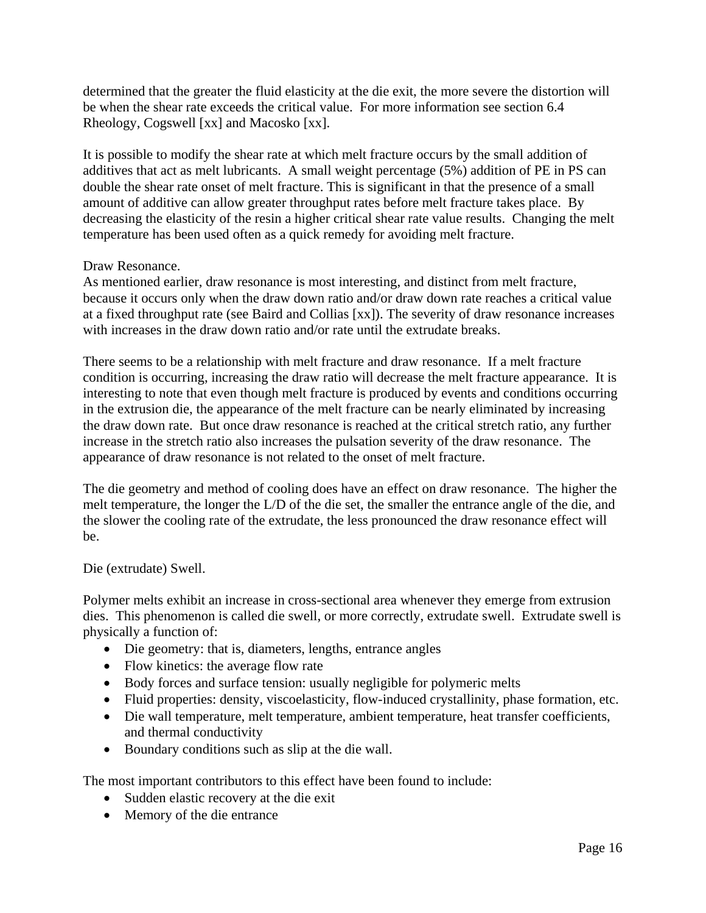determined that the greater the fluid elasticity at the die exit, the more severe the distortion will be when the shear rate exceeds the critical value. For more information see section 6.4 Rheology, Cogswell [xx] and Macosko [xx].

It is possible to modify the shear rate at which melt fracture occurs by the small addition of additives that act as melt lubricants. A small weight percentage (5%) addition of PE in PS can double the shear rate onset of melt fracture. This is significant in that the presence of a small amount of additive can allow greater throughput rates before melt fracture takes place. By decreasing the elasticity of the resin a higher critical shear rate value results. Changing the melt temperature has been used often as a quick remedy for avoiding melt fracture.

## Draw Resonance.

As mentioned earlier, draw resonance is most interesting, and distinct from melt fracture, because it occurs only when the draw down ratio and/or draw down rate reaches a critical value at a fixed throughput rate (see Baird and Collias [xx]). The severity of draw resonance increases with increases in the draw down ratio and/or rate until the extrudate breaks.

There seems to be a relationship with melt fracture and draw resonance. If a melt fracture condition is occurring, increasing the draw ratio will decrease the melt fracture appearance. It is interesting to note that even though melt fracture is produced by events and conditions occurring in the extrusion die, the appearance of the melt fracture can be nearly eliminated by increasing the draw down rate. But once draw resonance is reached at the critical stretch ratio, any further increase in the stretch ratio also increases the pulsation severity of the draw resonance. The appearance of draw resonance is not related to the onset of melt fracture.

The die geometry and method of cooling does have an effect on draw resonance. The higher the melt temperature, the longer the L/D of the die set, the smaller the entrance angle of the die, and the slower the cooling rate of the extrudate, the less pronounced the draw resonance effect will be.

## Die (extrudate) Swell.

Polymer melts exhibit an increase in cross-sectional area whenever they emerge from extrusion dies. This phenomenon is called die swell, or more correctly, extrudate swell. Extrudate swell is physically a function of:

- Die geometry: that is, diameters, lengths, entrance angles
- Flow kinetics: the average flow rate
- Body forces and surface tension: usually negligible for polymeric melts
- Fluid properties: density, viscoelasticity, flow-induced crystallinity, phase formation, etc.
- Die wall temperature, melt temperature, ambient temperature, heat transfer coefficients, and thermal conductivity
- Boundary conditions such as slip at the die wall.

The most important contributors to this effect have been found to include:

- Sudden elastic recovery at the die exit
- Memory of the die entrance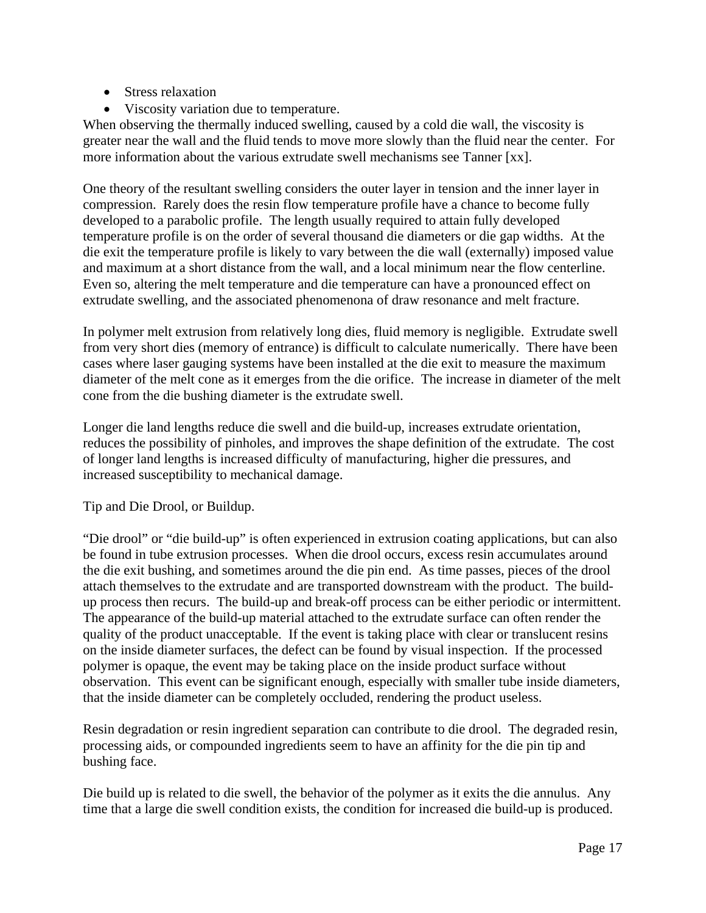- Stress relaxation
- Viscosity variation due to temperature.

When observing the thermally induced swelling, caused by a cold die wall, the viscosity is greater near the wall and the fluid tends to move more slowly than the fluid near the center. For more information about the various extrudate swell mechanisms see Tanner [xx].

One theory of the resultant swelling considers the outer layer in tension and the inner layer in compression. Rarely does the resin flow temperature profile have a chance to become fully developed to a parabolic profile. The length usually required to attain fully developed temperature profile is on the order of several thousand die diameters or die gap widths. At the die exit the temperature profile is likely to vary between the die wall (externally) imposed value and maximum at a short distance from the wall, and a local minimum near the flow centerline. Even so, altering the melt temperature and die temperature can have a pronounced effect on extrudate swelling, and the associated phenomenona of draw resonance and melt fracture.

In polymer melt extrusion from relatively long dies, fluid memory is negligible. Extrudate swell from very short dies (memory of entrance) is difficult to calculate numerically. There have been cases where laser gauging systems have been installed at the die exit to measure the maximum diameter of the melt cone as it emerges from the die orifice. The increase in diameter of the melt cone from the die bushing diameter is the extrudate swell.

Longer die land lengths reduce die swell and die build-up, increases extrudate orientation, reduces the possibility of pinholes, and improves the shape definition of the extrudate. The cost of longer land lengths is increased difficulty of manufacturing, higher die pressures, and increased susceptibility to mechanical damage.

Tip and Die Drool, or Buildup.

"Die drool" or "die build-up" is often experienced in extrusion coating applications, but can also be found in tube extrusion processes. When die drool occurs, excess resin accumulates around the die exit bushing, and sometimes around the die pin end. As time passes, pieces of the drool attach themselves to the extrudate and are transported downstream with the product. The buildup process then recurs. The build-up and break-off process can be either periodic or intermittent. The appearance of the build-up material attached to the extrudate surface can often render the quality of the product unacceptable. If the event is taking place with clear or translucent resins on the inside diameter surfaces, the defect can be found by visual inspection. If the processed polymer is opaque, the event may be taking place on the inside product surface without observation. This event can be significant enough, especially with smaller tube inside diameters, that the inside diameter can be completely occluded, rendering the product useless.

Resin degradation or resin ingredient separation can contribute to die drool. The degraded resin, processing aids, or compounded ingredients seem to have an affinity for the die pin tip and bushing face.

Die build up is related to die swell, the behavior of the polymer as it exits the die annulus. Any time that a large die swell condition exists, the condition for increased die build-up is produced.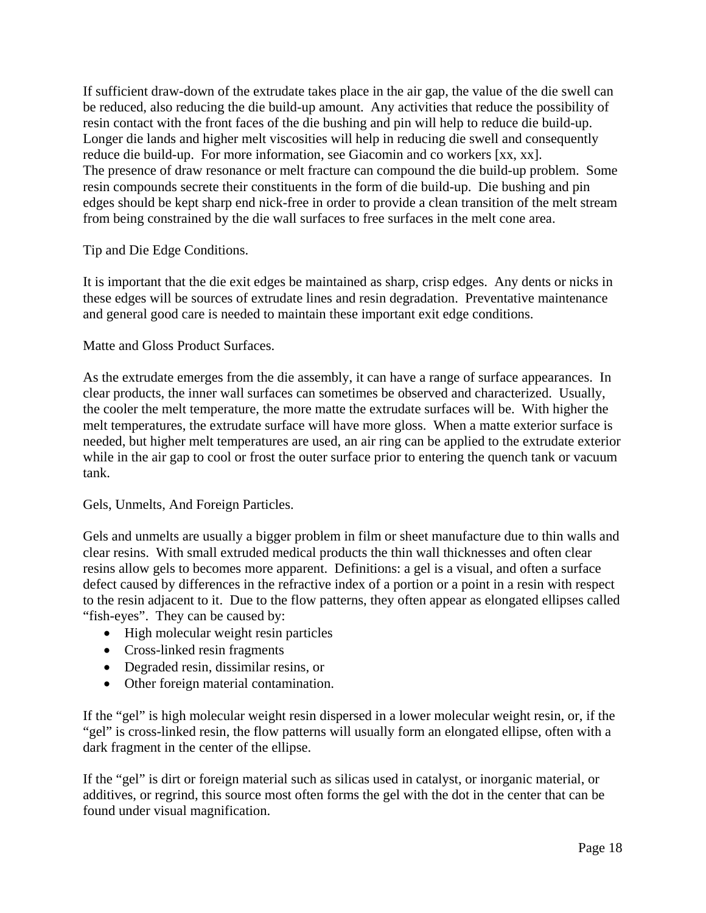If sufficient draw-down of the extrudate takes place in the air gap, the value of the die swell can be reduced, also reducing the die build-up amount. Any activities that reduce the possibility of resin contact with the front faces of the die bushing and pin will help to reduce die build-up. Longer die lands and higher melt viscosities will help in reducing die swell and consequently reduce die build-up. For more information, see Giacomin and co workers [xx, xx]. The presence of draw resonance or melt fracture can compound the die build-up problem. Some resin compounds secrete their constituents in the form of die build-up. Die bushing and pin edges should be kept sharp end nick-free in order to provide a clean transition of the melt stream from being constrained by the die wall surfaces to free surfaces in the melt cone area.

Tip and Die Edge Conditions.

It is important that the die exit edges be maintained as sharp, crisp edges. Any dents or nicks in these edges will be sources of extrudate lines and resin degradation. Preventative maintenance and general good care is needed to maintain these important exit edge conditions.

Matte and Gloss Product Surfaces.

As the extrudate emerges from the die assembly, it can have a range of surface appearances. In clear products, the inner wall surfaces can sometimes be observed and characterized. Usually, the cooler the melt temperature, the more matte the extrudate surfaces will be. With higher the melt temperatures, the extrudate surface will have more gloss. When a matte exterior surface is needed, but higher melt temperatures are used, an air ring can be applied to the extrudate exterior while in the air gap to cool or frost the outer surface prior to entering the quench tank or vacuum tank.

Gels, Unmelts, And Foreign Particles.

Gels and unmelts are usually a bigger problem in film or sheet manufacture due to thin walls and clear resins. With small extruded medical products the thin wall thicknesses and often clear resins allow gels to becomes more apparent. Definitions: a gel is a visual, and often a surface defect caused by differences in the refractive index of a portion or a point in a resin with respect to the resin adjacent to it. Due to the flow patterns, they often appear as elongated ellipses called "fish-eyes". They can be caused by:

- High molecular weight resin particles
- Cross-linked resin fragments
- Degraded resin, dissimilar resins, or
- Other foreign material contamination.

If the "gel" is high molecular weight resin dispersed in a lower molecular weight resin, or, if the "gel" is cross-linked resin, the flow patterns will usually form an elongated ellipse, often with a dark fragment in the center of the ellipse.

If the "gel" is dirt or foreign material such as silicas used in catalyst, or inorganic material, or additives, or regrind, this source most often forms the gel with the dot in the center that can be found under visual magnification.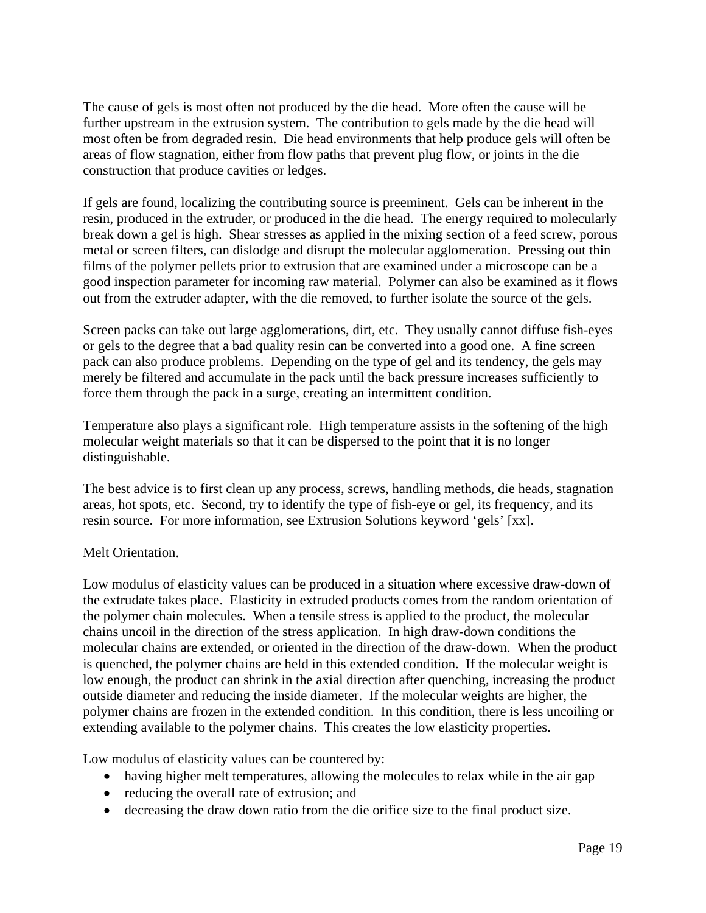The cause of gels is most often not produced by the die head. More often the cause will be further upstream in the extrusion system. The contribution to gels made by the die head will most often be from degraded resin. Die head environments that help produce gels will often be areas of flow stagnation, either from flow paths that prevent plug flow, or joints in the die construction that produce cavities or ledges.

If gels are found, localizing the contributing source is preeminent. Gels can be inherent in the resin, produced in the extruder, or produced in the die head. The energy required to molecularly break down a gel is high. Shear stresses as applied in the mixing section of a feed screw, porous metal or screen filters, can dislodge and disrupt the molecular agglomeration. Pressing out thin films of the polymer pellets prior to extrusion that are examined under a microscope can be a good inspection parameter for incoming raw material. Polymer can also be examined as it flows out from the extruder adapter, with the die removed, to further isolate the source of the gels.

Screen packs can take out large agglomerations, dirt, etc. They usually cannot diffuse fish-eyes or gels to the degree that a bad quality resin can be converted into a good one. A fine screen pack can also produce problems. Depending on the type of gel and its tendency, the gels may merely be filtered and accumulate in the pack until the back pressure increases sufficiently to force them through the pack in a surge, creating an intermittent condition.

Temperature also plays a significant role. High temperature assists in the softening of the high molecular weight materials so that it can be dispersed to the point that it is no longer distinguishable.

The best advice is to first clean up any process, screws, handling methods, die heads, stagnation areas, hot spots, etc. Second, try to identify the type of fish-eye or gel, its frequency, and its resin source. For more information, see Extrusion Solutions keyword 'gels' [xx].

## Melt Orientation.

Low modulus of elasticity values can be produced in a situation where excessive draw-down of the extrudate takes place. Elasticity in extruded products comes from the random orientation of the polymer chain molecules. When a tensile stress is applied to the product, the molecular chains uncoil in the direction of the stress application. In high draw-down conditions the molecular chains are extended, or oriented in the direction of the draw-down. When the product is quenched, the polymer chains are held in this extended condition. If the molecular weight is low enough, the product can shrink in the axial direction after quenching, increasing the product outside diameter and reducing the inside diameter. If the molecular weights are higher, the polymer chains are frozen in the extended condition. In this condition, there is less uncoiling or extending available to the polymer chains. This creates the low elasticity properties.

Low modulus of elasticity values can be countered by:

- having higher melt temperatures, allowing the molecules to relax while in the air gap
- reducing the overall rate of extrusion; and
- decreasing the draw down ratio from the die orifice size to the final product size.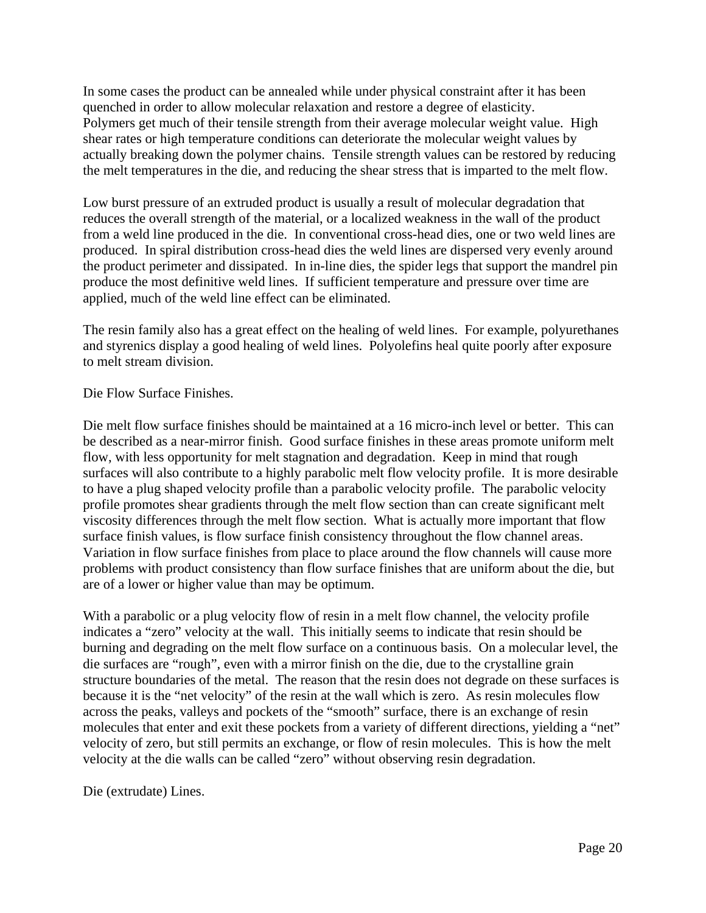In some cases the product can be annealed while under physical constraint after it has been quenched in order to allow molecular relaxation and restore a degree of elasticity. Polymers get much of their tensile strength from their average molecular weight value. High shear rates or high temperature conditions can deteriorate the molecular weight values by actually breaking down the polymer chains. Tensile strength values can be restored by reducing the melt temperatures in the die, and reducing the shear stress that is imparted to the melt flow.

Low burst pressure of an extruded product is usually a result of molecular degradation that reduces the overall strength of the material, or a localized weakness in the wall of the product from a weld line produced in the die. In conventional cross-head dies, one or two weld lines are produced. In spiral distribution cross-head dies the weld lines are dispersed very evenly around the product perimeter and dissipated. In in-line dies, the spider legs that support the mandrel pin produce the most definitive weld lines. If sufficient temperature and pressure over time are applied, much of the weld line effect can be eliminated.

The resin family also has a great effect on the healing of weld lines. For example, polyurethanes and styrenics display a good healing of weld lines. Polyolefins heal quite poorly after exposure to melt stream division.

## Die Flow Surface Finishes.

Die melt flow surface finishes should be maintained at a 16 micro-inch level or better. This can be described as a near-mirror finish. Good surface finishes in these areas promote uniform melt flow, with less opportunity for melt stagnation and degradation. Keep in mind that rough surfaces will also contribute to a highly parabolic melt flow velocity profile. It is more desirable to have a plug shaped velocity profile than a parabolic velocity profile. The parabolic velocity profile promotes shear gradients through the melt flow section than can create significant melt viscosity differences through the melt flow section. What is actually more important that flow surface finish values, is flow surface finish consistency throughout the flow channel areas. Variation in flow surface finishes from place to place around the flow channels will cause more problems with product consistency than flow surface finishes that are uniform about the die, but are of a lower or higher value than may be optimum.

With a parabolic or a plug velocity flow of resin in a melt flow channel, the velocity profile indicates a "zero" velocity at the wall. This initially seems to indicate that resin should be burning and degrading on the melt flow surface on a continuous basis. On a molecular level, the die surfaces are "rough", even with a mirror finish on the die, due to the crystalline grain structure boundaries of the metal. The reason that the resin does not degrade on these surfaces is because it is the "net velocity" of the resin at the wall which is zero. As resin molecules flow across the peaks, valleys and pockets of the "smooth" surface, there is an exchange of resin molecules that enter and exit these pockets from a variety of different directions, yielding a "net" velocity of zero, but still permits an exchange, or flow of resin molecules. This is how the melt velocity at the die walls can be called "zero" without observing resin degradation.

Die (extrudate) Lines.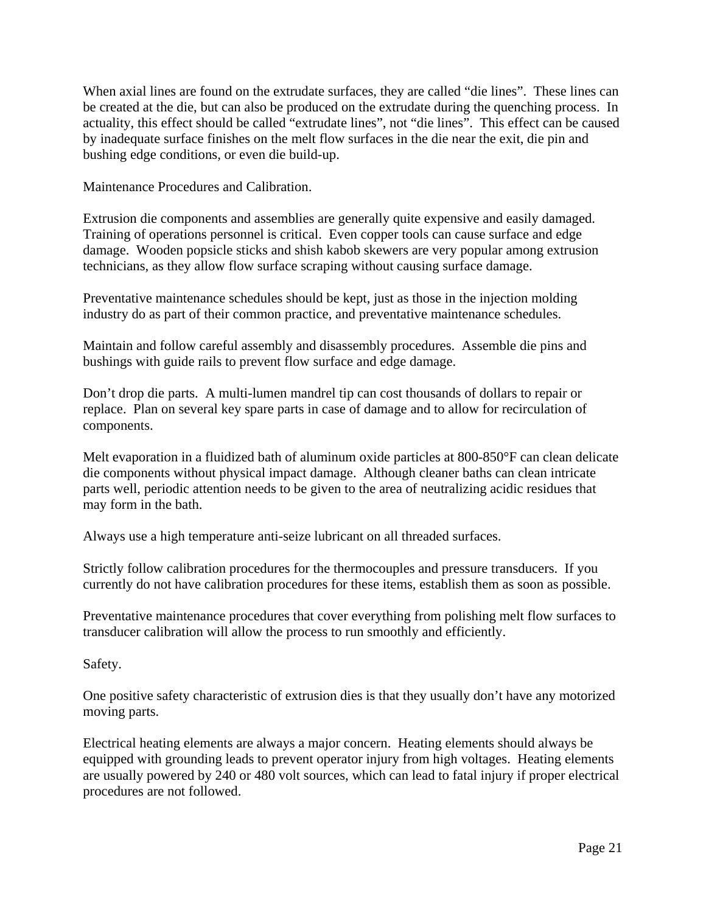When axial lines are found on the extrudate surfaces, they are called "die lines". These lines can be created at the die, but can also be produced on the extrudate during the quenching process. In actuality, this effect should be called "extrudate lines", not "die lines". This effect can be caused by inadequate surface finishes on the melt flow surfaces in the die near the exit, die pin and bushing edge conditions, or even die build-up.

Maintenance Procedures and Calibration.

Extrusion die components and assemblies are generally quite expensive and easily damaged. Training of operations personnel is critical. Even copper tools can cause surface and edge damage. Wooden popsicle sticks and shish kabob skewers are very popular among extrusion technicians, as they allow flow surface scraping without causing surface damage.

Preventative maintenance schedules should be kept, just as those in the injection molding industry do as part of their common practice, and preventative maintenance schedules.

Maintain and follow careful assembly and disassembly procedures. Assemble die pins and bushings with guide rails to prevent flow surface and edge damage.

Don't drop die parts. A multi-lumen mandrel tip can cost thousands of dollars to repair or replace. Plan on several key spare parts in case of damage and to allow for recirculation of components.

Melt evaporation in a fluidized bath of aluminum oxide particles at 800-850°F can clean delicate die components without physical impact damage. Although cleaner baths can clean intricate parts well, periodic attention needs to be given to the area of neutralizing acidic residues that may form in the bath.

Always use a high temperature anti-seize lubricant on all threaded surfaces.

Strictly follow calibration procedures for the thermocouples and pressure transducers. If you currently do not have calibration procedures for these items, establish them as soon as possible.

Preventative maintenance procedures that cover everything from polishing melt flow surfaces to transducer calibration will allow the process to run smoothly and efficiently.

Safety.

One positive safety characteristic of extrusion dies is that they usually don't have any motorized moving parts.

Electrical heating elements are always a major concern. Heating elements should always be equipped with grounding leads to prevent operator injury from high voltages. Heating elements are usually powered by 240 or 480 volt sources, which can lead to fatal injury if proper electrical procedures are not followed.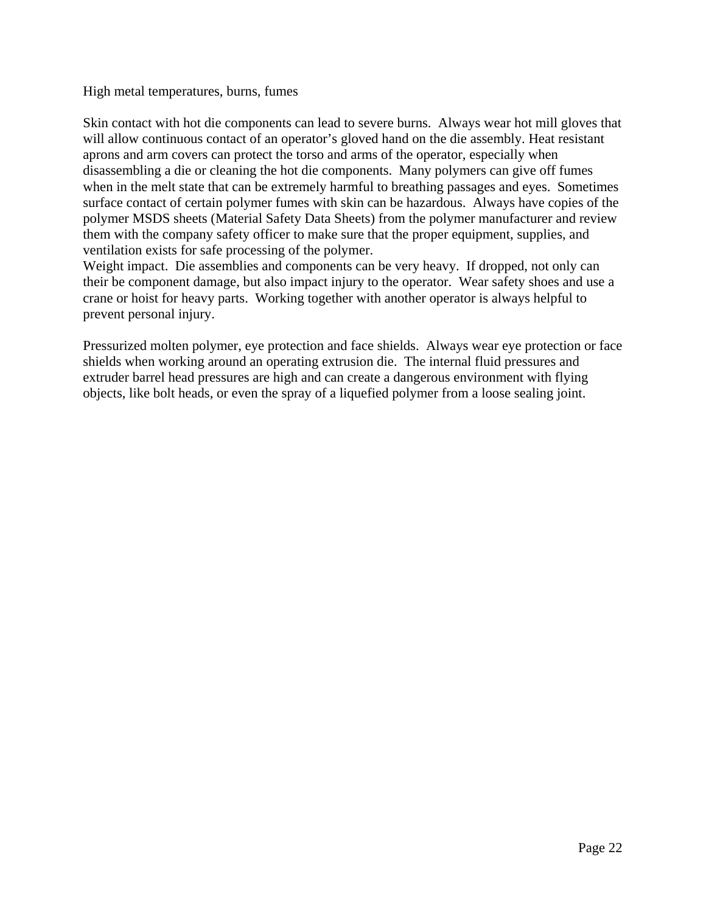## High metal temperatures, burns, fumes

Skin contact with hot die components can lead to severe burns. Always wear hot mill gloves that will allow continuous contact of an operator's gloved hand on the die assembly. Heat resistant aprons and arm covers can protect the torso and arms of the operator, especially when disassembling a die or cleaning the hot die components. Many polymers can give off fumes when in the melt state that can be extremely harmful to breathing passages and eyes. Sometimes surface contact of certain polymer fumes with skin can be hazardous. Always have copies of the polymer MSDS sheets (Material Safety Data Sheets) from the polymer manufacturer and review them with the company safety officer to make sure that the proper equipment, supplies, and ventilation exists for safe processing of the polymer.

Weight impact. Die assemblies and components can be very heavy. If dropped, not only can their be component damage, but also impact injury to the operator. Wear safety shoes and use a crane or hoist for heavy parts. Working together with another operator is always helpful to prevent personal injury.

Pressurized molten polymer, eye protection and face shields. Always wear eye protection or face shields when working around an operating extrusion die. The internal fluid pressures and extruder barrel head pressures are high and can create a dangerous environment with flying objects, like bolt heads, or even the spray of a liquefied polymer from a loose sealing joint.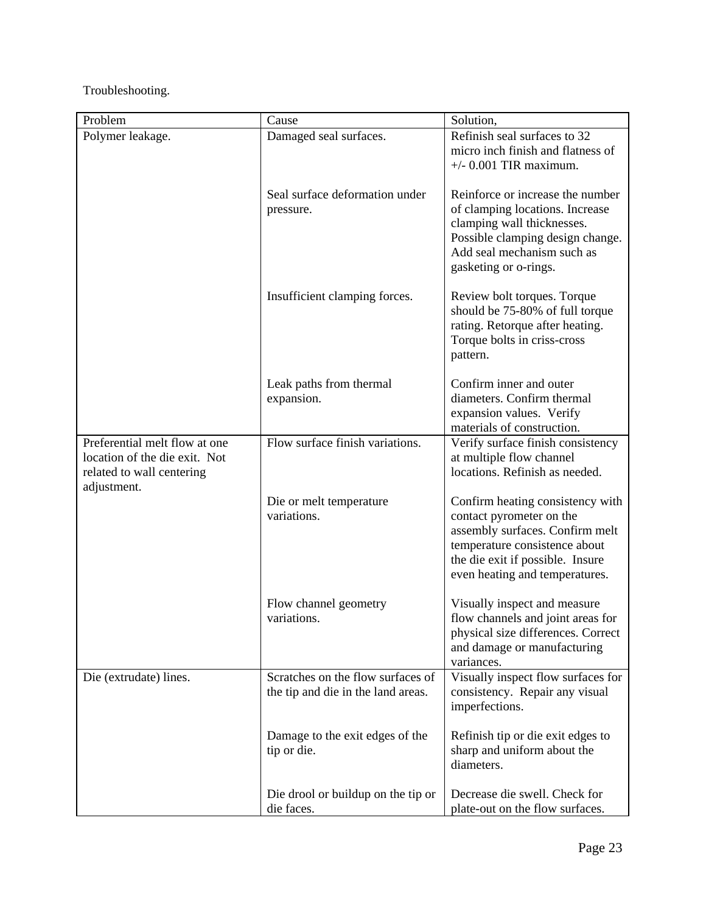Troubleshooting.

| Problem                                                        | Cause                                                                   | Solution,                                                            |
|----------------------------------------------------------------|-------------------------------------------------------------------------|----------------------------------------------------------------------|
| Polymer leakage.                                               | Damaged seal surfaces.                                                  | Refinish seal surfaces to 32                                         |
|                                                                |                                                                         | micro inch finish and flatness of                                    |
|                                                                |                                                                         | $+/-$ 0.001 TIR maximum.                                             |
|                                                                | Seal surface deformation under                                          | Reinforce or increase the number                                     |
|                                                                | pressure.                                                               | of clamping locations. Increase                                      |
|                                                                |                                                                         | clamping wall thicknesses.                                           |
|                                                                |                                                                         | Possible clamping design change.                                     |
|                                                                |                                                                         | Add seal mechanism such as                                           |
|                                                                |                                                                         | gasketing or o-rings.                                                |
|                                                                |                                                                         |                                                                      |
|                                                                | Insufficient clamping forces.                                           | Review bolt torques. Torque                                          |
|                                                                |                                                                         | should be 75-80% of full torque<br>rating. Retorque after heating.   |
|                                                                |                                                                         | Torque bolts in criss-cross                                          |
|                                                                |                                                                         | pattern.                                                             |
|                                                                |                                                                         |                                                                      |
|                                                                | Leak paths from thermal                                                 | Confirm inner and outer                                              |
|                                                                | expansion.                                                              | diameters. Confirm thermal                                           |
|                                                                |                                                                         | expansion values. Verify                                             |
|                                                                | Flow surface finish variations.                                         | materials of construction.                                           |
| Preferential melt flow at one<br>location of the die exit. Not |                                                                         | Verify surface finish consistency<br>at multiple flow channel        |
| related to wall centering                                      |                                                                         | locations. Refinish as needed.                                       |
| adjustment.                                                    |                                                                         |                                                                      |
|                                                                | Die or melt temperature                                                 | Confirm heating consistency with                                     |
|                                                                | variations.                                                             | contact pyrometer on the                                             |
|                                                                |                                                                         | assembly surfaces. Confirm melt                                      |
|                                                                |                                                                         | temperature consistence about                                        |
|                                                                |                                                                         | the die exit if possible. Insure<br>even heating and temperatures.   |
|                                                                |                                                                         |                                                                      |
|                                                                | Flow channel geometry                                                   | Visually inspect and measure                                         |
|                                                                | variations.                                                             | flow channels and joint areas for                                    |
|                                                                |                                                                         | physical size differences. Correct                                   |
|                                                                |                                                                         | and damage or manufacturing                                          |
|                                                                |                                                                         | variances.                                                           |
| Die (extrudate) lines.                                         | Scratches on the flow surfaces of<br>the tip and die in the land areas. | Visually inspect flow surfaces for<br>consistency. Repair any visual |
|                                                                |                                                                         | imperfections.                                                       |
|                                                                |                                                                         |                                                                      |
|                                                                | Damage to the exit edges of the                                         | Refinish tip or die exit edges to                                    |
|                                                                | tip or die.                                                             | sharp and uniform about the                                          |
|                                                                |                                                                         | diameters.                                                           |
|                                                                |                                                                         |                                                                      |
|                                                                | Die drool or buildup on the tip or<br>die faces.                        | Decrease die swell. Check for<br>plate-out on the flow surfaces.     |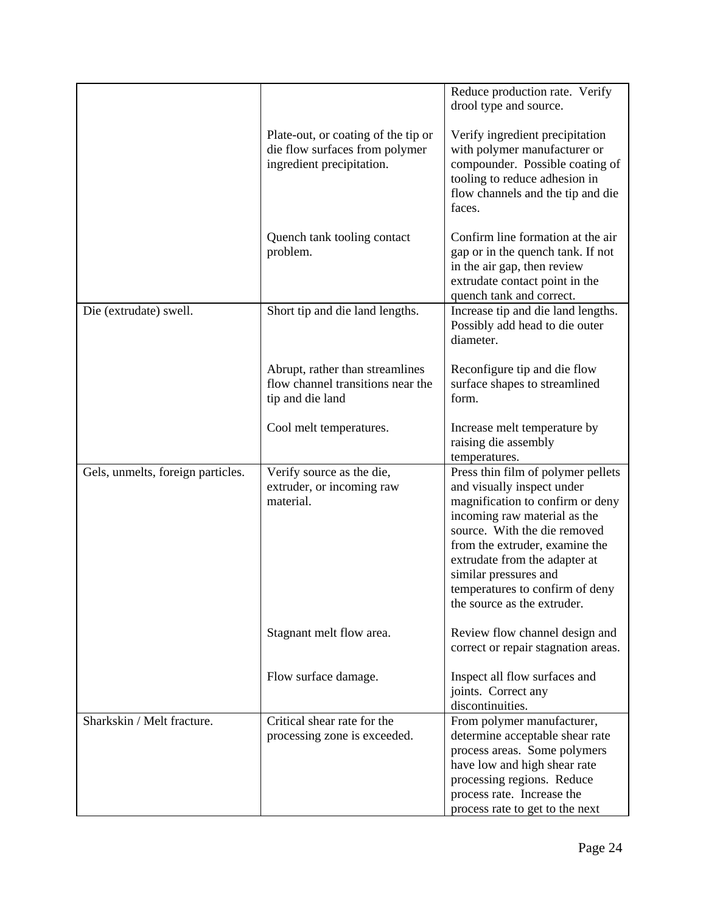|                                   |                                                                                                    | Reduce production rate. Verify<br>drool type and source.                                                                                                                                                                                                                                                                           |
|-----------------------------------|----------------------------------------------------------------------------------------------------|------------------------------------------------------------------------------------------------------------------------------------------------------------------------------------------------------------------------------------------------------------------------------------------------------------------------------------|
|                                   | Plate-out, or coating of the tip or<br>die flow surfaces from polymer<br>ingredient precipitation. | Verify ingredient precipitation<br>with polymer manufacturer or<br>compounder. Possible coating of<br>tooling to reduce adhesion in<br>flow channels and the tip and die<br>faces.                                                                                                                                                 |
|                                   | Quench tank tooling contact<br>problem.                                                            | Confirm line formation at the air<br>gap or in the quench tank. If not<br>in the air gap, then review<br>extrudate contact point in the<br>quench tank and correct.                                                                                                                                                                |
| Die (extrudate) swell.            | Short tip and die land lengths.                                                                    | Increase tip and die land lengths.<br>Possibly add head to die outer<br>diameter.                                                                                                                                                                                                                                                  |
|                                   | Abrupt, rather than streamlines<br>flow channel transitions near the<br>tip and die land           | Reconfigure tip and die flow<br>surface shapes to streamlined<br>form.                                                                                                                                                                                                                                                             |
|                                   | Cool melt temperatures.                                                                            | Increase melt temperature by<br>raising die assembly<br>temperatures.                                                                                                                                                                                                                                                              |
| Gels, unmelts, foreign particles. | Verify source as the die,<br>extruder, or incoming raw<br>material.                                | Press thin film of polymer pellets<br>and visually inspect under<br>magnification to confirm or deny<br>incoming raw material as the<br>source. With the die removed<br>from the extruder, examine the<br>extrudate from the adapter at<br>similar pressures and<br>temperatures to confirm of deny<br>the source as the extruder. |
|                                   | Stagnant melt flow area.                                                                           | Review flow channel design and<br>correct or repair stagnation areas.                                                                                                                                                                                                                                                              |
|                                   | Flow surface damage.                                                                               | Inspect all flow surfaces and<br>joints. Correct any<br>discontinuities.                                                                                                                                                                                                                                                           |
| Sharkskin / Melt fracture.        | Critical shear rate for the<br>processing zone is exceeded.                                        | From polymer manufacturer,<br>determine acceptable shear rate<br>process areas. Some polymers<br>have low and high shear rate<br>processing regions. Reduce<br>process rate. Increase the<br>process rate to get to the next                                                                                                       |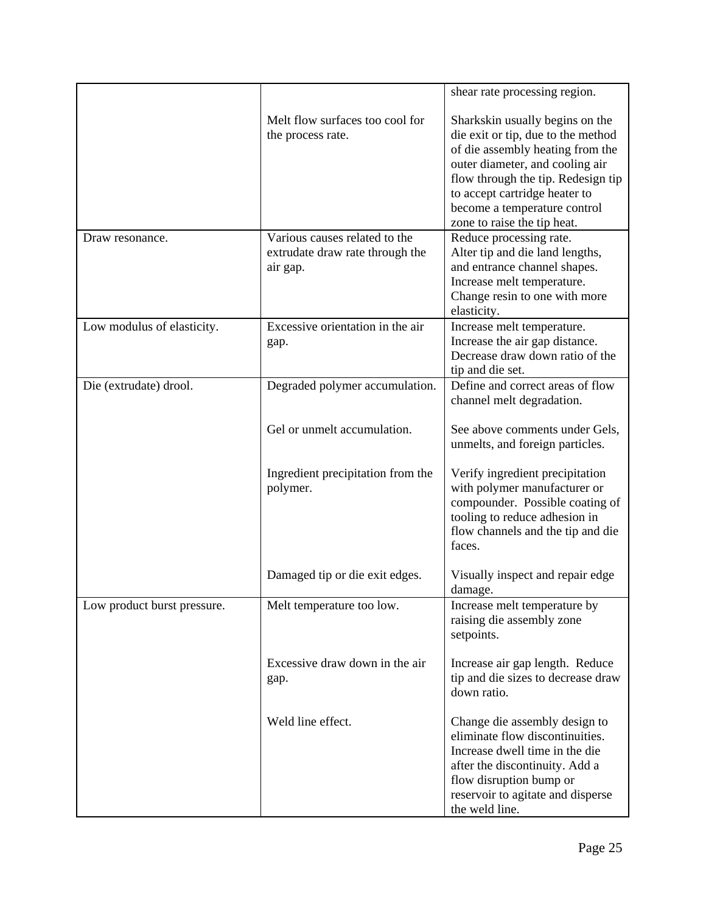|                             |                                                                              | shear rate processing region.                                                                                                                                                                                                                                                      |
|-----------------------------|------------------------------------------------------------------------------|------------------------------------------------------------------------------------------------------------------------------------------------------------------------------------------------------------------------------------------------------------------------------------|
|                             | Melt flow surfaces too cool for<br>the process rate.                         | Sharkskin usually begins on the<br>die exit or tip, due to the method<br>of die assembly heating from the<br>outer diameter, and cooling air<br>flow through the tip. Redesign tip<br>to accept cartridge heater to<br>become a temperature control<br>zone to raise the tip heat. |
| Draw resonance.             | Various causes related to the<br>extrudate draw rate through the<br>air gap. | Reduce processing rate.<br>Alter tip and die land lengths,<br>and entrance channel shapes.<br>Increase melt temperature.<br>Change resin to one with more<br>elasticity.                                                                                                           |
| Low modulus of elasticity.  | Excessive orientation in the air<br>gap.                                     | Increase melt temperature.<br>Increase the air gap distance.<br>Decrease draw down ratio of the<br>tip and die set.                                                                                                                                                                |
| Die (extrudate) drool.      | Degraded polymer accumulation.                                               | Define and correct areas of flow<br>channel melt degradation.                                                                                                                                                                                                                      |
|                             | Gel or unmelt accumulation.                                                  | See above comments under Gels,<br>unmelts, and foreign particles.                                                                                                                                                                                                                  |
|                             | Ingredient precipitation from the<br>polymer.                                | Verify ingredient precipitation<br>with polymer manufacturer or<br>compounder. Possible coating of<br>tooling to reduce adhesion in<br>flow channels and the tip and die<br>faces.                                                                                                 |
|                             | Damaged tip or die exit edges.                                               | Visually inspect and repair edge<br>damage.                                                                                                                                                                                                                                        |
| Low product burst pressure. | Melt temperature too low.                                                    | Increase melt temperature by<br>raising die assembly zone<br>setpoints.                                                                                                                                                                                                            |
|                             | Excessive draw down in the air<br>gap.                                       | Increase air gap length. Reduce<br>tip and die sizes to decrease draw<br>down ratio.                                                                                                                                                                                               |
|                             | Weld line effect.                                                            | Change die assembly design to<br>eliminate flow discontinuities.<br>Increase dwell time in the die<br>after the discontinuity. Add a<br>flow disruption bump or<br>reservoir to agitate and disperse<br>the weld line.                                                             |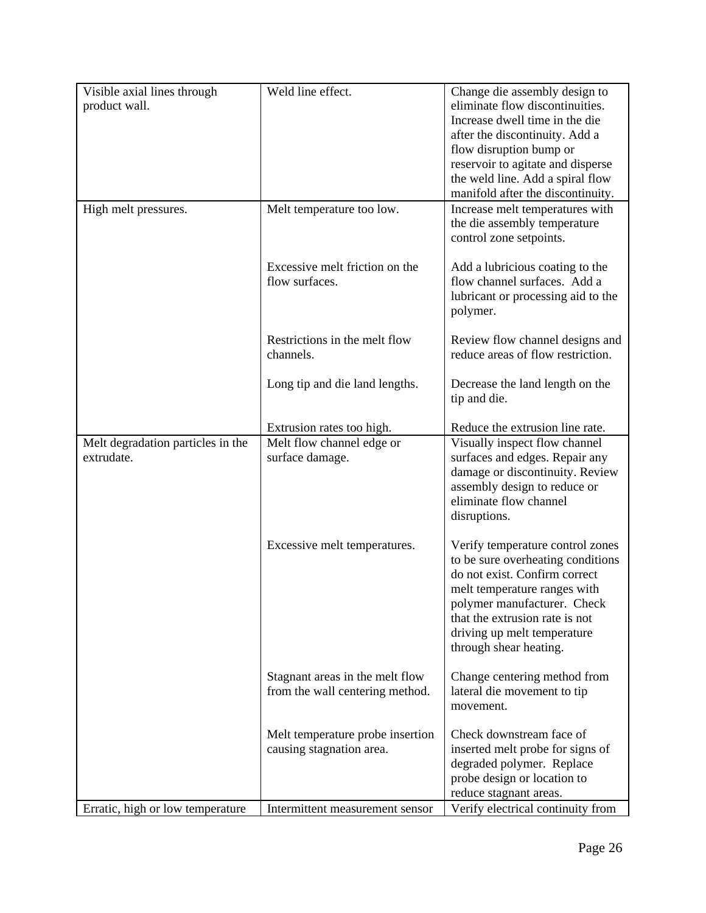| Visible axial lines through       | Weld line effect.                                                  | Change die assembly design to                                                                                                                                                                                                                                    |
|-----------------------------------|--------------------------------------------------------------------|------------------------------------------------------------------------------------------------------------------------------------------------------------------------------------------------------------------------------------------------------------------|
| product wall.                     |                                                                    | eliminate flow discontinuities.                                                                                                                                                                                                                                  |
|                                   |                                                                    | Increase dwell time in the die                                                                                                                                                                                                                                   |
|                                   |                                                                    | after the discontinuity. Add a                                                                                                                                                                                                                                   |
|                                   |                                                                    | flow disruption bump or                                                                                                                                                                                                                                          |
|                                   |                                                                    | reservoir to agitate and disperse                                                                                                                                                                                                                                |
|                                   |                                                                    | the weld line. Add a spiral flow                                                                                                                                                                                                                                 |
|                                   |                                                                    | manifold after the discontinuity.                                                                                                                                                                                                                                |
| High melt pressures.              | Melt temperature too low.                                          | Increase melt temperatures with<br>the die assembly temperature<br>control zone setpoints.                                                                                                                                                                       |
|                                   | Excessive melt friction on the<br>flow surfaces.                   | Add a lubricious coating to the<br>flow channel surfaces. Add a<br>lubricant or processing aid to the<br>polymer.                                                                                                                                                |
|                                   | Restrictions in the melt flow                                      | Review flow channel designs and                                                                                                                                                                                                                                  |
|                                   | channels.                                                          | reduce areas of flow restriction.                                                                                                                                                                                                                                |
|                                   | Long tip and die land lengths.                                     | Decrease the land length on the<br>tip and die.                                                                                                                                                                                                                  |
|                                   | Extrusion rates too high.                                          | Reduce the extrusion line rate.                                                                                                                                                                                                                                  |
| Melt degradation particles in the | Melt flow channel edge or                                          | Visually inspect flow channel                                                                                                                                                                                                                                    |
| extrudate.                        | surface damage.                                                    | surfaces and edges. Repair any<br>damage or discontinuity. Review<br>assembly design to reduce or<br>eliminate flow channel<br>disruptions.                                                                                                                      |
|                                   | Excessive melt temperatures.                                       | Verify temperature control zones<br>to be sure overheating conditions<br>do not exist. Confirm correct<br>melt temperature ranges with<br>polymer manufacturer. Check<br>that the extrusion rate is not<br>driving up melt temperature<br>through shear heating. |
|                                   | Stagnant areas in the melt flow<br>from the wall centering method. | Change centering method from<br>lateral die movement to tip<br>movement.                                                                                                                                                                                         |
|                                   | Melt temperature probe insertion                                   | Check downstream face of                                                                                                                                                                                                                                         |
|                                   | causing stagnation area.                                           | inserted melt probe for signs of                                                                                                                                                                                                                                 |
|                                   |                                                                    | degraded polymer. Replace                                                                                                                                                                                                                                        |
|                                   |                                                                    | probe design or location to                                                                                                                                                                                                                                      |
|                                   |                                                                    | reduce stagnant areas.                                                                                                                                                                                                                                           |
| Erratic, high or low temperature  | Intermittent measurement sensor                                    | Verify electrical continuity from                                                                                                                                                                                                                                |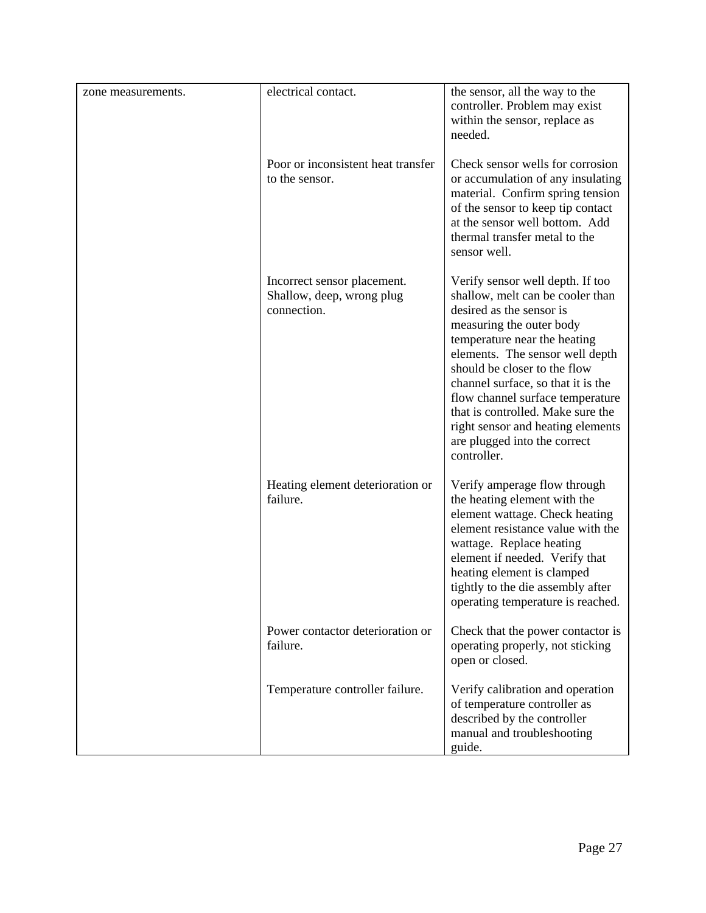| zone measurements. | electrical contact.                                                     | the sensor, all the way to the<br>controller. Problem may exist<br>within the sensor, replace as<br>needed.                                                                                                                                                                                                                                                                                                                        |
|--------------------|-------------------------------------------------------------------------|------------------------------------------------------------------------------------------------------------------------------------------------------------------------------------------------------------------------------------------------------------------------------------------------------------------------------------------------------------------------------------------------------------------------------------|
|                    | Poor or inconsistent heat transfer<br>to the sensor.                    | Check sensor wells for corrosion<br>or accumulation of any insulating<br>material. Confirm spring tension<br>of the sensor to keep tip contact<br>at the sensor well bottom. Add<br>thermal transfer metal to the<br>sensor well.                                                                                                                                                                                                  |
|                    | Incorrect sensor placement.<br>Shallow, deep, wrong plug<br>connection. | Verify sensor well depth. If too<br>shallow, melt can be cooler than<br>desired as the sensor is<br>measuring the outer body<br>temperature near the heating<br>elements. The sensor well depth<br>should be closer to the flow<br>channel surface, so that it is the<br>flow channel surface temperature<br>that is controlled. Make sure the<br>right sensor and heating elements<br>are plugged into the correct<br>controller. |
|                    | Heating element deterioration or<br>failure.                            | Verify amperage flow through<br>the heating element with the<br>element wattage. Check heating<br>element resistance value with the<br>wattage. Replace heating<br>element if needed. Verify that<br>heating element is clamped<br>tightly to the die assembly after<br>operating temperature is reached.                                                                                                                          |
|                    | Power contactor deterioration or<br>failure.                            | Check that the power contactor is<br>operating properly, not sticking<br>open or closed.                                                                                                                                                                                                                                                                                                                                           |
|                    | Temperature controller failure.                                         | Verify calibration and operation<br>of temperature controller as<br>described by the controller<br>manual and troubleshooting<br>guide.                                                                                                                                                                                                                                                                                            |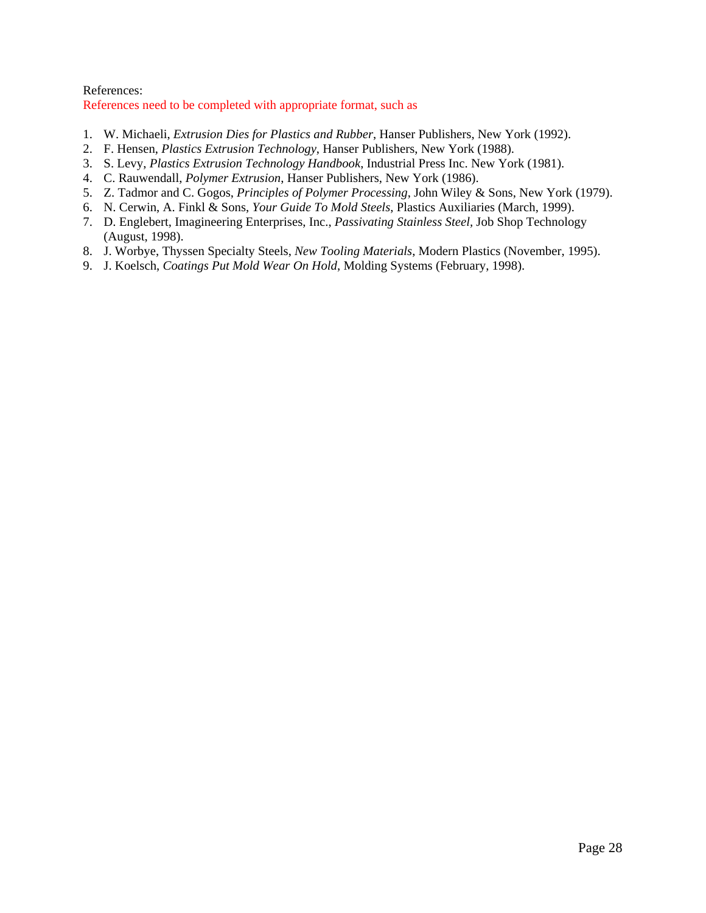#### References: References need to be completed with appropriate format, such as

- 1. W. Michaeli, *Extrusion Dies for Plastics and Rubber*, Hanser Publishers, New York (1992).
- 2. F. Hensen, *Plastics Extrusion Technology*, Hanser Publishers, New York (1988).
- 3. S. Levy, *Plastics Extrusion Technology Handbook*, Industrial Press Inc. New York (1981).
- 4. C. Rauwendall, *Polymer Extrusion*, Hanser Publishers, New York (1986).
- 5. Z. Tadmor and C. Gogos, *Principles of Polymer Processing*, John Wiley & Sons, New York (1979).
- 6. N. Cerwin, A. Finkl & Sons, *Your Guide To Mold Steels*, Plastics Auxiliaries (March, 1999).
- 7. D. Englebert, Imagineering Enterprises, Inc., *Passivating Stainless Steel,* Job Shop Technology (August, 1998).
- 8. J. Worbye, Thyssen Specialty Steels, *New Tooling Materials*, Modern Plastics (November, 1995).
- 9. J. Koelsch, *Coatings Put Mold Wear On Hold*, Molding Systems (February, 1998).